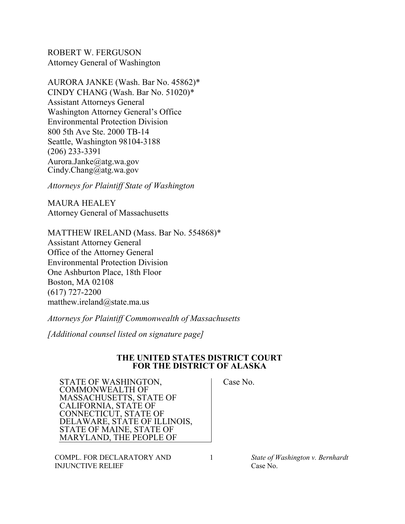ROBERT W. FERGUSON Attorney General of Washington

AURORA JANKE (Wash. Bar No. 45862)\* CINDY CHANG (Wash. Bar No. 51020)\* Assistant Attorneys General Washington Attorney General's Office Environmental Protection Division 800 5th Ave Ste. 2000 TB-14 Seattle, Washington 98104-3188 (206) 233-3391 Aurora.Janke@atg.wa.gov Cindy.Chang@atg.wa.gov

*Attorneys for Plaintiff State of Washington*

MAURA HEALEY Attorney General of Massachusetts

MATTHEW IRELAND (Mass. Bar No. 554868)\* Assistant Attorney General Office of the Attorney General Environmental Protection Division One Ashburton Place, 18th Floor Boston, MA 02108 (617) 727-2200 matthew.ireland@state.ma.us

*Attorneys for Plaintiff Commonwealth of Massachusetts*

*[Additional counsel listed on signature page]*

## **THE UNITED STATES DISTRICT COURT FOR THE DISTRICT OF ALASKA**

STATE OF WASHINGTON, COMMONWEALTH OF MASSACHUSETTS, STATE OF CALIFORNIA, STATE OF CONNECTICUT, STATE OF DELAWARE, STATE OF ILLINOIS, STATE OF MAINE, STATE OF MARYLAND, THE PEOPLE OF

COMPL. FOR DECLARATORY AND INJUNCTIVE RELIEF

Case No.

1 *State of Washington v. Bernhardt* Case No.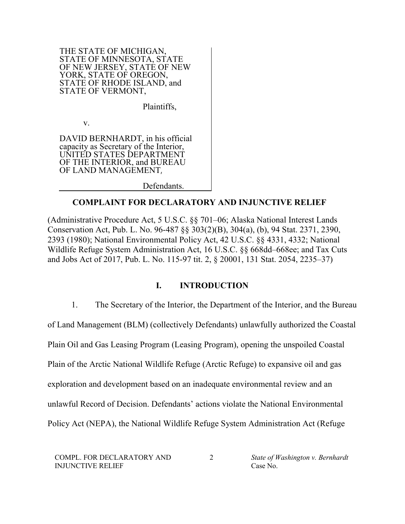THE STATE OF MICHIGAN, STATE OF MINNESOTA, STATE OF NEW JERSEY, STATE OF NEW YORK, STATE OF OREGON, STATE OF RHODE ISLAND, and STATE OF VERMONT,

Plaintiffs,

v.

DAVID BERNHARDT, in his official capacity as Secretary of the Interior, UNITED STATES DEPARTMENT OF THE INTERIOR, and BUREAU OF LAND MANAGEMENT,

Defendants.

## **COMPLAINT FOR DECLARATORY AND INJUNCTIVE RELIEF**

(Administrative Procedure Act, 5 U.S.C. §§ 701–06; Alaska National Interest Lands Conservation Act, Pub. L. No. 96-487 §§ 303(2)(B), 304(a), (b), 94 Stat. 2371, 2390, 2393 (1980); National Environmental Policy Act, 42 U.S.C. §§ 4331, 4332; National Wildlife Refuge System Administration Act, 16 U.S.C. §§ 668dd–668ee; and Tax Cuts and Jobs Act of 2017, Pub. L. No. 115-97 tit. 2, § 20001, 131 Stat. 2054, 2235–37)

# **I. INTRODUCTION**

1. The Secretary of the Interior, the Department of the Interior, and the Bureau of Land Management (BLM) (collectively Defendants) unlawfully authorized the Coastal Plain Oil and Gas Leasing Program (Leasing Program), opening the unspoiled Coastal Plain of the Arctic National Wildlife Refuge (Arctic Refuge) to expansive oil and gas exploration and development based on an inadequate environmental review and an unlawful Record of Decision. Defendants' actions violate the National Environmental Policy Act (NEPA), the National Wildlife Refuge System Administration Act (Refuge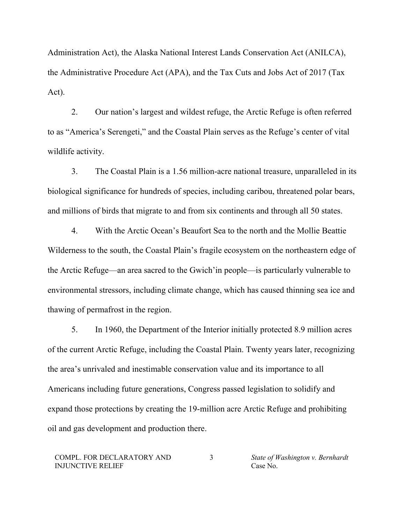Administration Act), the Alaska National Interest Lands Conservation Act (ANILCA), the Administrative Procedure Act (APA), and the Tax Cuts and Jobs Act of 2017 (Tax Act).

2. Our nation's largest and wildest refuge, the Arctic Refuge is often referred to as "America's Serengeti," and the Coastal Plain serves as the Refuge's center of vital wildlife activity.

3. The Coastal Plain is a 1.56 million-acre national treasure, unparalleled in its biological significance for hundreds of species, including caribou, threatened polar bears, and millions of birds that migrate to and from six continents and through all 50 states.

4. With the Arctic Ocean's Beaufort Sea to the north and the Mollie Beattie Wilderness to the south, the Coastal Plain's fragile ecosystem on the northeastern edge of the Arctic Refuge—an area sacred to the Gwich'in people—is particularly vulnerable to environmental stressors, including climate change, which has caused thinning sea ice and thawing of permafrost in the region.

5. In 1960, the Department of the Interior initially protected 8.9 million acres of the current Arctic Refuge, including the Coastal Plain. Twenty years later, recognizing the area's unrivaled and inestimable conservation value and its importance to all Americans including future generations, Congress passed legislation to solidify and expand those protections by creating the 19-million acre Arctic Refuge and prohibiting oil and gas development and production there.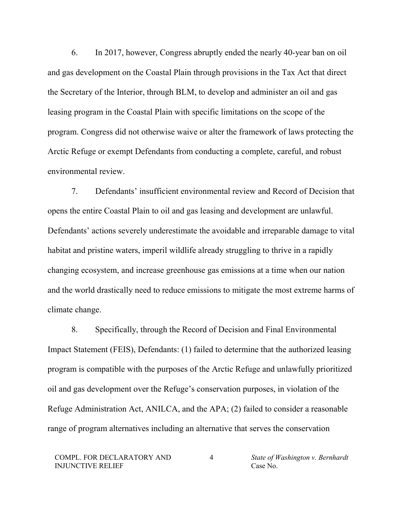6. In 2017, however, Congress abruptly ended the nearly 40-year ban on oil and gas development on the Coastal Plain through provisions in the Tax Act that direct the Secretary of the Interior, through BLM, to develop and administer an oil and gas leasing program in the Coastal Plain with specific limitations on the scope of the program. Congress did not otherwise waive or alter the framework of laws protecting the Arctic Refuge or exempt Defendants from conducting a complete, careful, and robust environmental review.

7. Defendants' insufficient environmental review and Record of Decision that opens the entire Coastal Plain to oil and gas leasing and development are unlawful. Defendants' actions severely underestimate the avoidable and irreparable damage to vital habitat and pristine waters, imperil wildlife already struggling to thrive in a rapidly changing ecosystem, and increase greenhouse gas emissions at a time when our nation and the world drastically need to reduce emissions to mitigate the most extreme harms of climate change.

8. Specifically, through the Record of Decision and Final Environmental Impact Statement (FEIS), Defendants: (1) failed to determine that the authorized leasing program is compatible with the purposes of the Arctic Refuge and unlawfully prioritized oil and gas development over the Refuge's conservation purposes, in violation of the Refuge Administration Act, ANILCA, and the APA; (2) failed to consider a reasonable range of program alternatives including an alternative that serves the conservation

<sup>4</sup> *State of Washington v. Bernhardt* Case No.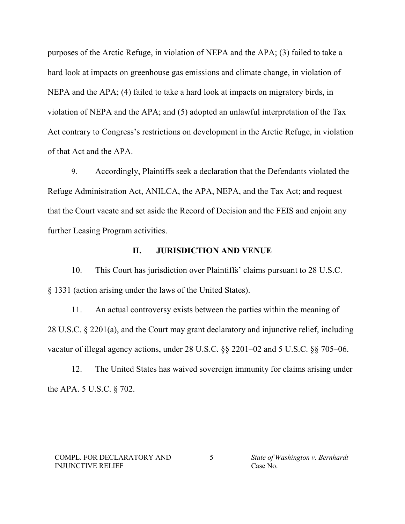purposes of the Arctic Refuge, in violation of NEPA and the APA; (3) failed to take a hard look at impacts on greenhouse gas emissions and climate change, in violation of NEPA and the APA; (4) failed to take a hard look at impacts on migratory birds, in violation of NEPA and the APA; and (5) adopted an unlawful interpretation of the Tax Act contrary to Congress's restrictions on development in the Arctic Refuge, in violation of that Act and the APA.

9. Accordingly, Plaintiffs seek a declaration that the Defendants violated the Refuge Administration Act, ANILCA, the APA, NEPA, and the Tax Act; and request that the Court vacate and set aside the Record of Decision and the FEIS and enjoin any further Leasing Program activities.

#### **II. JURISDICTION AND VENUE**

10. This Court has jurisdiction over Plaintiffs' claims pursuant to 28 U.S.C. § 1331 (action arising under the laws of the United States).

11. An actual controversy exists between the parties within the meaning of 28 U.S.C. § 2201(a), and the Court may grant declaratory and injunctive relief, including vacatur of illegal agency actions, under 28 U.S.C. §§ 2201–02 and 5 U.S.C. §§ 705–06.

12. The United States has waived sovereign immunity for claims arising under the APA. 5 U.S.C. § 702.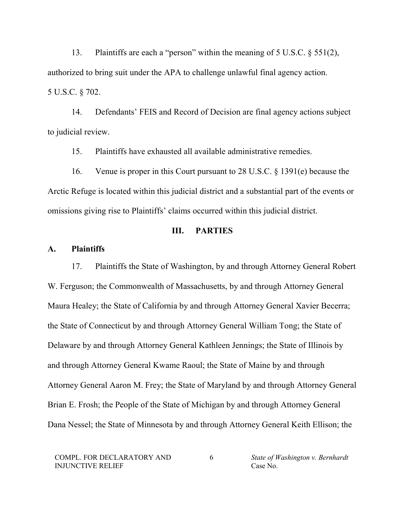13. Plaintiffs are each a "person" within the meaning of 5 U.S.C. § 551(2), authorized to bring suit under the APA to challenge unlawful final agency action. 5 U.S.C. § 702.

14. Defendants' FEIS and Record of Decision are final agency actions subject to judicial review.

15. Plaintiffs have exhausted all available administrative remedies.

16. Venue is proper in this Court pursuant to 28 U.S.C. § 1391(e) because the Arctic Refuge is located within this judicial district and a substantial part of the events or omissions giving rise to Plaintiffs' claims occurred within this judicial district.

# **III. PARTIES**

#### **A. Plaintiffs**

17. Plaintiffs the State of Washington, by and through Attorney General Robert W. Ferguson; the Commonwealth of Massachusetts, by and through Attorney General Maura Healey; the State of California by and through Attorney General Xavier Becerra; the State of Connecticut by and through Attorney General William Tong; the State of Delaware by and through Attorney General Kathleen Jennings; the State of Illinois by and through Attorney General Kwame Raoul; the State of Maine by and through Attorney General Aaron M. Frey; the State of Maryland by and through Attorney General Brian E. Frosh; the People of the State of Michigan by and through Attorney General Dana Nessel; the State of Minnesota by and through Attorney General Keith Ellison; the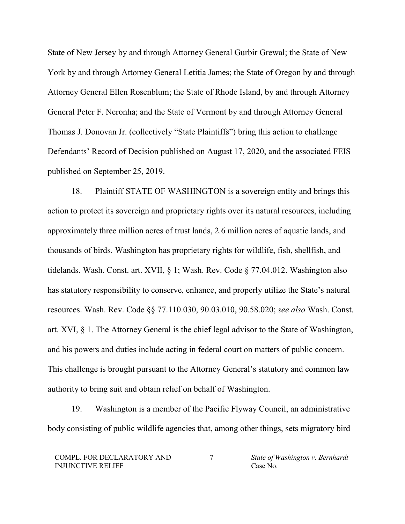State of New Jersey by and through Attorney General Gurbir Grewal; the State of New York by and through Attorney General Letitia James; the State of Oregon by and through Attorney General Ellen Rosenblum; the State of Rhode Island, by and through Attorney General Peter F. Neronha; and the State of Vermont by and through Attorney General Thomas J. Donovan Jr. (collectively "State Plaintiffs") bring this action to challenge Defendants' Record of Decision published on August 17, 2020, and the associated FEIS published on September 25, 2019.

18. Plaintiff STATE OF WASHINGTON is a sovereign entity and brings this action to protect its sovereign and proprietary rights over its natural resources, including approximately three million acres of trust lands, 2.6 million acres of aquatic lands, and thousands of birds. Washington has proprietary rights for wildlife, fish, shellfish, and tidelands. Wash. Const. art. XVII, § 1; Wash. Rev. Code § 77.04.012. Washington also has statutory responsibility to conserve, enhance, and properly utilize the State's natural resources. Wash. Rev. Code §§ 77.110.030, 90.03.010, 90.58.020; *see also* Wash. Const. art. XVI, § 1. The Attorney General is the chief legal advisor to the State of Washington, and his powers and duties include acting in federal court on matters of public concern. This challenge is brought pursuant to the Attorney General's statutory and common law authority to bring suit and obtain relief on behalf of Washington.

19. Washington is a member of the Pacific Flyway Council, an administrative body consisting of public wildlife agencies that, among other things, sets migratory bird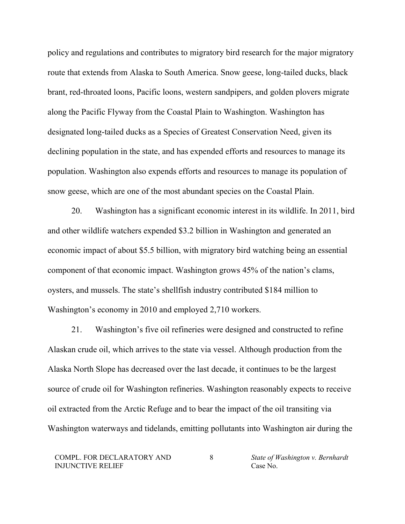policy and regulations and contributes to migratory bird research for the major migratory route that extends from Alaska to South America. Snow geese, long-tailed ducks, black brant, red-throated loons, Pacific loons, western sandpipers, and golden plovers migrate along the Pacific Flyway from the Coastal Plain to Washington. Washington has designated long-tailed ducks as a Species of Greatest Conservation Need, given its declining population in the state, and has expended efforts and resources to manage its population. Washington also expends efforts and resources to manage its population of snow geese, which are one of the most abundant species on the Coastal Plain.

20. Washington has a significant economic interest in its wildlife. In 2011, bird and other wildlife watchers expended \$3.2 billion in Washington and generated an economic impact of about \$5.5 billion, with migratory bird watching being an essential component of that economic impact. Washington grows 45% of the nation's clams, oysters, and mussels. The state's shellfish industry contributed \$184 million to Washington's economy in 2010 and employed 2,710 workers.

21. Washington's five oil refineries were designed and constructed to refine Alaskan crude oil, which arrives to the state via vessel. Although production from the Alaska North Slope has decreased over the last decade, it continues to be the largest source of crude oil for Washington refineries. Washington reasonably expects to receive oil extracted from the Arctic Refuge and to bear the impact of the oil transiting via Washington waterways and tidelands, emitting pollutants into Washington air during the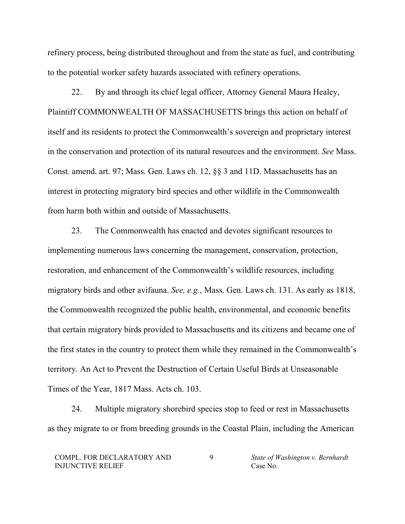refinery process, being distributed throughout and from the state as fuel, and contributing to the potential worker safety hazards associated with refinery operations.

22. By and through its chief legal officer, Attorney General Maura Healey, Plaintiff COMMONWEALTH OF MASSACHUSETTS brings this action on behalf of itself and its residents to protect the Commonwealth's sovereign and proprietary interest in the conservation and protection of its natural resources and the environment. *See* Mass. Const. amend. art. 97; Mass. Gen. Laws ch. 12, §§ 3 and 11D. Massachusetts has an interest in protecting migratory bird species and other wildlife in the Commonwealth from harm both within and outside of Massachusetts.

23. The Commonwealth has enacted and devotes significant resources to implementing numerous laws concerning the management, conservation, protection, restoration, and enhancement of the Commonwealth's wildlife resources, including migratory birds and other avifauna. *See, e.g.*, Mass. Gen. Laws ch. 131. As early as 1818, the Commonwealth recognized the public health, environmental, and economic benefits that certain migratory birds provided to Massachusetts and its citizens and became one of the first states in the country to protect them while they remained in the Commonwealth's territory. An Act to Prevent the Destruction of Certain Useful Birds at Unseasonable Times of the Year, 1817 Mass. Acts ch. 103.

24. Multiple migratory shorebird species stop to feed or rest in Massachusetts as they migrate to or from breeding grounds in the Coastal Plain, including the American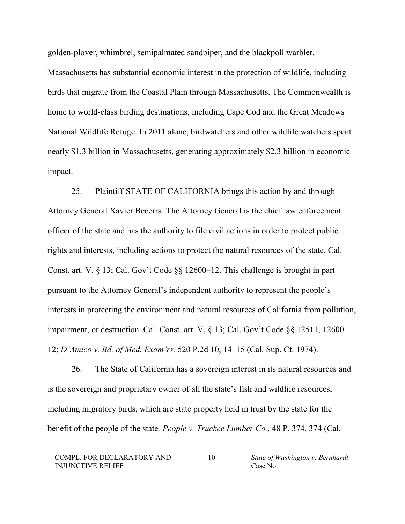golden-plover, whimbrel, semipalmated sandpiper, and the blackpoll warbler.

Massachusetts has substantial economic interest in the protection of wildlife, including birds that migrate from the Coastal Plain through Massachusetts. The Commonwealth is home to world-class birding destinations, including Cape Cod and the Great Meadows National Wildlife Refuge. In 2011 alone, birdwatchers and other wildlife watchers spent nearly \$1.3 billion in Massachusetts, generating approximately \$2.3 billion in economic impact.

25. Plaintiff STATE OF CALIFORNIA brings this action by and through Attorney General Xavier Becerra. The Attorney General is the chief law enforcement officer of the state and has the authority to file civil actions in order to protect public rights and interests, including actions to protect the natural resources of the state. Cal. Const. art. V, § 13; Cal. Gov't Code §§ 12600–12. This challenge is brought in part pursuant to the Attorney General's independent authority to represent the people's interests in protecting the environment and natural resources of California from pollution, impairment, or destruction. Cal. Const. art. V, § 13; Cal. Gov't Code §§ 12511, 12600– 12; *D'Amico v. Bd. of Med. Exam'rs,* 520 P.2d 10, 14–15 (Cal. Sup. Ct. 1974).

26. The State of California has a sovereign interest in its natural resources and is the sovereign and proprietary owner of all the state's fish and wildlife resources, including migratory birds, which are state property held in trust by the state for the benefit of the people of the state*. People v. Truckee Lumber Co.*, 48 P. 374, 374 (Cal.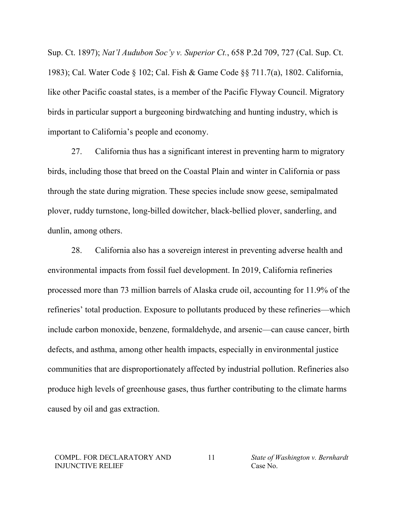Sup. Ct. 1897); *Nat'l Audubon Soc'y v. Superior Ct.*, 658 P.2d 709, 727 (Cal. Sup. Ct. 1983); Cal. Water Code § 102; Cal. Fish & Game Code §§ 711.7(a), 1802. California, like other Pacific coastal states, is a member of the Pacific Flyway Council. Migratory birds in particular support a burgeoning birdwatching and hunting industry, which is important to California's people and economy.

27. California thus has a significant interest in preventing harm to migratory birds, including those that breed on the Coastal Plain and winter in California or pass through the state during migration. These species include snow geese, semipalmated plover, ruddy turnstone, long-billed dowitcher, black-bellied plover, sanderling, and dunlin, among others.

28. California also has a sovereign interest in preventing adverse health and environmental impacts from fossil fuel development. In 2019, California refineries processed more than 73 million barrels of Alaska crude oil, accounting for 11.9% of the refineries' total production. Exposure to pollutants produced by these refineries—which include carbon monoxide, benzene, formaldehyde, and arsenic—can cause cancer, birth defects, and asthma, among other health impacts, especially in environmental justice communities that are disproportionately affected by industrial pollution. Refineries also produce high levels of greenhouse gases, thus further contributing to the climate harms caused by oil and gas extraction.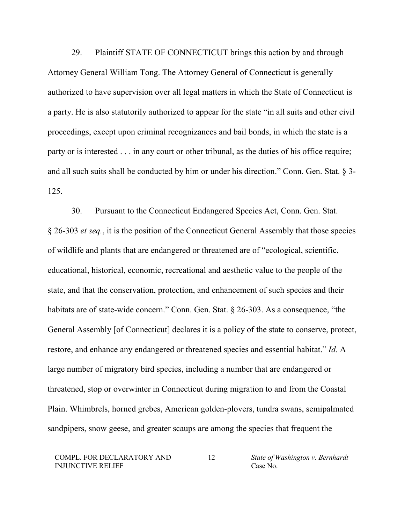29. Plaintiff STATE OF CONNECTICUT brings this action by and through Attorney General William Tong. The Attorney General of Connecticut is generally authorized to have supervision over all legal matters in which the State of Connecticut is a party. He is also statutorily authorized to appear for the state "in all suits and other civil proceedings, except upon criminal recognizances and bail bonds, in which the state is a party or is interested . . . in any court or other tribunal, as the duties of his office require; and all such suits shall be conducted by him or under his direction." Conn. Gen. Stat. § 3- 125.

30. Pursuant to the Connecticut Endangered Species Act, Conn. Gen. Stat. § 26-303 *et seq.*, it is the position of the Connecticut General Assembly that those species of wildlife and plants that are endangered or threatened are of "ecological, scientific, educational, historical, economic, recreational and aesthetic value to the people of the state, and that the conservation, protection, and enhancement of such species and their habitats are of state-wide concern." Conn. Gen. Stat. § 26-303. As a consequence, "the General Assembly [of Connecticut] declares it is a policy of the state to conserve, protect, restore, and enhance any endangered or threatened species and essential habitat." *Id.* A large number of migratory bird species, including a number that are endangered or threatened, stop or overwinter in Connecticut during migration to and from the Coastal Plain. Whimbrels, horned grebes, American golden-plovers, tundra swans, semipalmated sandpipers, snow geese, and greater scaups are among the species that frequent the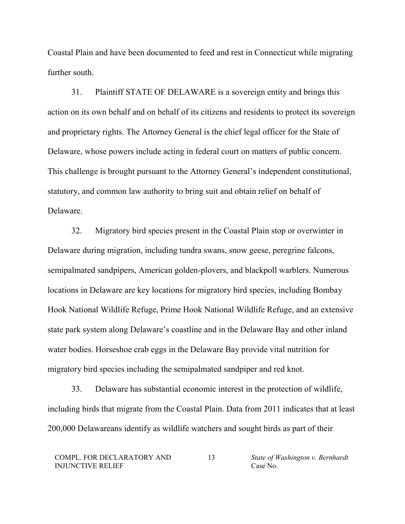Coastal Plain and have been documented to feed and rest in Connecticut while migrating further south.

31. Plaintiff STATE OF DELAWARE is a sovereign entity and brings this action on its own behalf and on behalf of its citizens and residents to protect its sovereign and proprietary rights. The Attorney General is the chief legal officer for the State of Delaware, whose powers include acting in federal court on matters of public concern. This challenge is brought pursuant to the Attorney General's independent constitutional, statutory, and common law authority to bring suit and obtain relief on behalf of Delaware.

32. Migratory bird species present in the Coastal Plain stop or overwinter in Delaware during migration, including tundra swans, snow geese, peregrine falcons, semipalmated sandpipers, American golden-plovers, and blackpoll warblers. Numerous locations in Delaware are key locations for migratory bird species, including Bombay Hook National Wildlife Refuge, Prime Hook National Wildlife Refuge, and an extensive state park system along Delaware's coastline and in the Delaware Bay and other inland water bodies. Horseshoe crab eggs in the Delaware Bay provide vital nutrition for migratory bird species including the semipalmated sandpiper and red knot.

33. Delaware has substantial economic interest in the protection of wildlife, including birds that migrate from the Coastal Plain. Data from 2011 indicates that at least 200,000 Delawareans identify as wildlife watchers and sought birds as part of their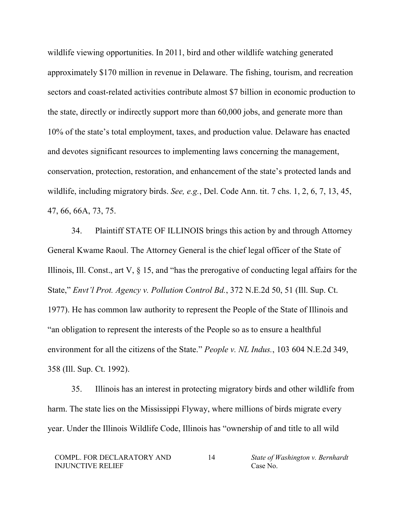wildlife viewing opportunities. In 2011, bird and other wildlife watching generated approximately \$170 million in revenue in Delaware. The fishing, tourism, and recreation sectors and coast-related activities contribute almost \$7 billion in economic production to the state, directly or indirectly support more than 60,000 jobs, and generate more than 10% of the state's total employment, taxes, and production value. Delaware has enacted and devotes significant resources to implementing laws concerning the management, conservation, protection, restoration, and enhancement of the state's protected lands and wildlife, including migratory birds. *See, e.g.*, Del. Code Ann. tit. 7 chs. 1, 2, 6, 7, 13, 45, 47, 66, 66A, 73, 75.

34. Plaintiff STATE OF ILLINOIS brings this action by and through Attorney General Kwame Raoul. The Attorney General is the chief legal officer of the State of Illinois, Ill. Const., art V, § 15, and "has the prerogative of conducting legal affairs for the State," *Envt'l Prot. Agency v. Pollution Control Bd.*, 372 N.E.2d 50, 51 (Ill. Sup. Ct. 1977). He has common law authority to represent the People of the State of Illinois and "an obligation to represent the interests of the People so as to ensure a healthful environment for all the citizens of the State." *People v. NL Indus.*, 103 604 N.E.2d 349, 358 (Ill. Sup. Ct. 1992).

35. Illinois has an interest in protecting migratory birds and other wildlife from harm. The state lies on the Mississippi Flyway, where millions of birds migrate every year. Under the Illinois Wildlife Code, Illinois has "ownership of and title to all wild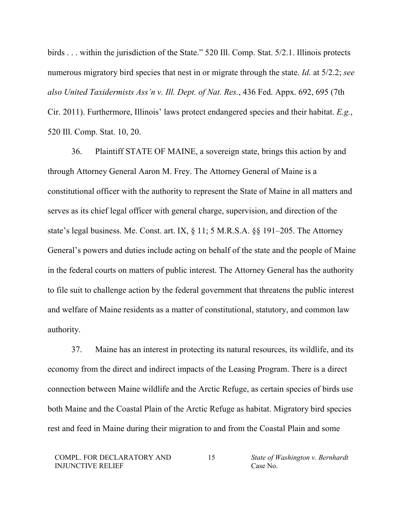birds . . . within the jurisdiction of the State." 520 Ill. Comp. Stat. 5/2.1. Illinois protects numerous migratory bird species that nest in or migrate through the state. *Id.* at 5/2.2; *see also United Taxidermists Ass'n v. Ill. Dept. of Nat. Res.*, 436 Fed. Appx. 692, 695 (7th Cir. 2011). Furthermore, Illinois' laws protect endangered species and their habitat. *E.g.*, 520 Ill. Comp. Stat. 10, 20.

36. Plaintiff STATE OF MAINE, a sovereign state, brings this action by and through Attorney General Aaron M. Frey. The Attorney General of Maine is a constitutional officer with the authority to represent the State of Maine in all matters and serves as its chief legal officer with general charge, supervision, and direction of the state's legal business. Me. Const. art. IX, § 11; 5 M.R.S.A. §§ 191–205. The Attorney General's powers and duties include acting on behalf of the state and the people of Maine in the federal courts on matters of public interest. The Attorney General has the authority to file suit to challenge action by the federal government that threatens the public interest and welfare of Maine residents as a matter of constitutional, statutory, and common law authority.

37. Maine has an interest in protecting its natural resources, its wildlife, and its economy from the direct and indirect impacts of the Leasing Program. There is a direct connection between Maine wildlife and the Arctic Refuge, as certain species of birds use both Maine and the Coastal Plain of the Arctic Refuge as habitat. Migratory bird species rest and feed in Maine during their migration to and from the Coastal Plain and some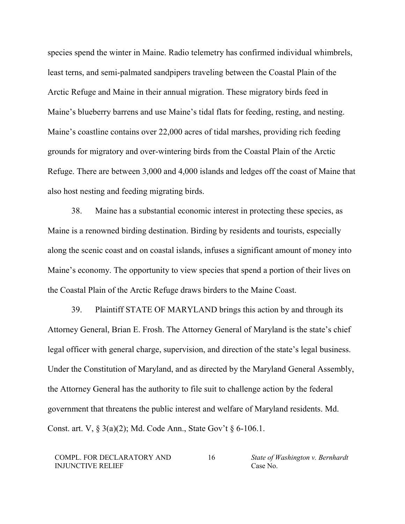species spend the winter in Maine. Radio telemetry has confirmed individual whimbrels, least terns, and semi-palmated sandpipers traveling between the Coastal Plain of the Arctic Refuge and Maine in their annual migration. These migratory birds feed in Maine's blueberry barrens and use Maine's tidal flats for feeding, resting, and nesting. Maine's coastline contains over 22,000 acres of tidal marshes, providing rich feeding grounds for migratory and over-wintering birds from the Coastal Plain of the Arctic Refuge. There are between 3,000 and 4,000 islands and ledges off the coast of Maine that also host nesting and feeding migrating birds.

38. Maine has a substantial economic interest in protecting these species, as Maine is a renowned birding destination. Birding by residents and tourists, especially along the scenic coast and on coastal islands, infuses a significant amount of money into Maine's economy. The opportunity to view species that spend a portion of their lives on the Coastal Plain of the Arctic Refuge draws birders to the Maine Coast.

39. Plaintiff STATE OF MARYLAND brings this action by and through its Attorney General, Brian E. Frosh. The Attorney General of Maryland is the state's chief legal officer with general charge, supervision, and direction of the state's legal business. Under the Constitution of Maryland, and as directed by the Maryland General Assembly, the Attorney General has the authority to file suit to challenge action by the federal government that threatens the public interest and welfare of Maryland residents. Md. Const. art. V, § 3(a)(2); Md. Code Ann., State Gov't § 6-106.1.

COMPL. FOR DECLARATORY AND INJUNCTIVE RELIEF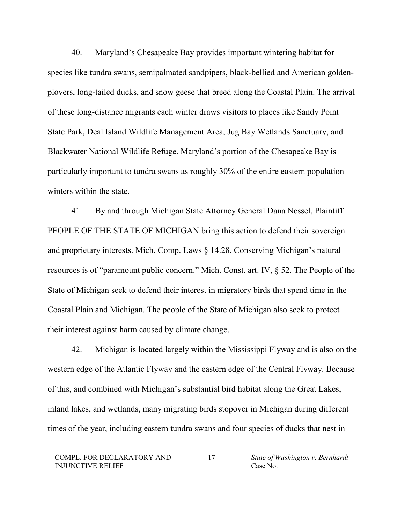40. Maryland's Chesapeake Bay provides important wintering habitat for species like tundra swans, semipalmated sandpipers, black-bellied and American goldenplovers, long-tailed ducks, and snow geese that breed along the Coastal Plain. The arrival of these long-distance migrants each winter draws visitors to places like Sandy Point State Park, Deal Island Wildlife Management Area, Jug Bay Wetlands Sanctuary, and Blackwater National Wildlife Refuge. Maryland's portion of the Chesapeake Bay is particularly important to tundra swans as roughly 30% of the entire eastern population winters within the state.

41. By and through Michigan State Attorney General Dana Nessel, Plaintiff PEOPLE OF THE STATE OF MICHIGAN bring this action to defend their sovereign and proprietary interests. Mich. Comp. Laws § 14.28. Conserving Michigan's natural resources is of "paramount public concern." Mich. Const. art. IV, § 52. The People of the State of Michigan seek to defend their interest in migratory birds that spend time in the Coastal Plain and Michigan. The people of the State of Michigan also seek to protect their interest against harm caused by climate change.

42. Michigan is located largely within the Mississippi Flyway and is also on the western edge of the Atlantic Flyway and the eastern edge of the Central Flyway. Because of this, and combined with Michigan's substantial bird habitat along the Great Lakes, inland lakes, and wetlands, many migrating birds stopover in Michigan during different times of the year, including eastern tundra swans and four species of ducks that nest in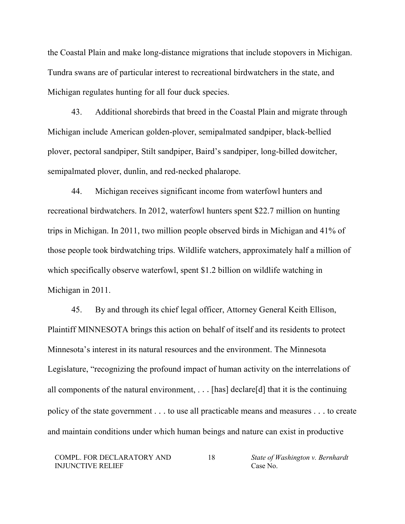the Coastal Plain and make long-distance migrations that include stopovers in Michigan. Tundra swans are of particular interest to recreational birdwatchers in the state, and Michigan regulates hunting for all four duck species.

43. Additional shorebirds that breed in the Coastal Plain and migrate through Michigan include American golden-plover, semipalmated sandpiper, black-bellied plover, pectoral sandpiper, Stilt sandpiper, Baird's sandpiper, long-billed dowitcher, semipalmated plover, dunlin, and red-necked phalarope.

44. Michigan receives significant income from waterfowl hunters and recreational birdwatchers. In 2012, waterfowl hunters spent \$22.7 million on hunting trips in Michigan. In 2011, two million people observed birds in Michigan and 41% of those people took birdwatching trips. Wildlife watchers, approximately half a million of which specifically observe waterfowl, spent \$1.2 billion on wildlife watching in Michigan in 2011.

45. By and through its chief legal officer, Attorney General Keith Ellison, Plaintiff MINNESOTA brings this action on behalf of itself and its residents to protect Minnesota's interest in its natural resources and the environment. The Minnesota Legislature, "recognizing the profound impact of human activity on the interrelations of all components of the natural environment, . . . [has] declare[d] that it is the continuing policy of the state government . . . to use all practicable means and measures . . . to create and maintain conditions under which human beings and nature can exist in productive

COMPL. FOR DECLARATORY AND INJUNCTIVE RELIEF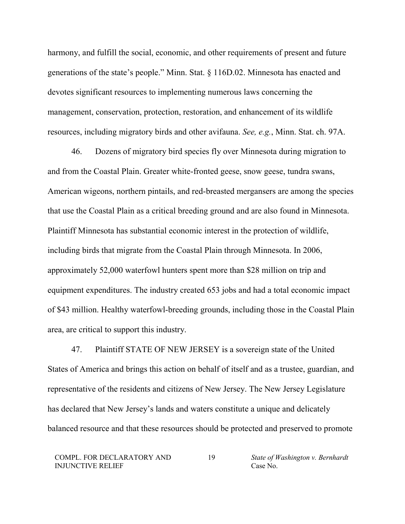harmony, and fulfill the social, economic, and other requirements of present and future generations of the state's people." Minn. Stat. § 116D.02. Minnesota has enacted and devotes significant resources to implementing numerous laws concerning the management, conservation, protection, restoration, and enhancement of its wildlife resources, including migratory birds and other avifauna. *See, e.g.*, Minn. Stat. ch. 97A.

46. Dozens of migratory bird species fly over Minnesota during migration to and from the Coastal Plain. Greater white-fronted geese, snow geese, tundra swans, American wigeons, northern pintails, and red-breasted mergansers are among the species that use the Coastal Plain as a critical breeding ground and are also found in Minnesota. Plaintiff Minnesota has substantial economic interest in the protection of wildlife, including birds that migrate from the Coastal Plain through Minnesota. In 2006, approximately 52,000 waterfowl hunters spent more than \$28 million on trip and equipment expenditures. The industry created 653 jobs and had a total economic impact of \$43 million. Healthy waterfowl-breeding grounds, including those in the Coastal Plain area, are critical to support this industry.

47. Plaintiff STATE OF NEW JERSEY is a sovereign state of the United States of America and brings this action on behalf of itself and as a trustee, guardian, and representative of the residents and citizens of New Jersey. The New Jersey Legislature has declared that New Jersey's lands and waters constitute a unique and delicately balanced resource and that these resources should be protected and preserved to promote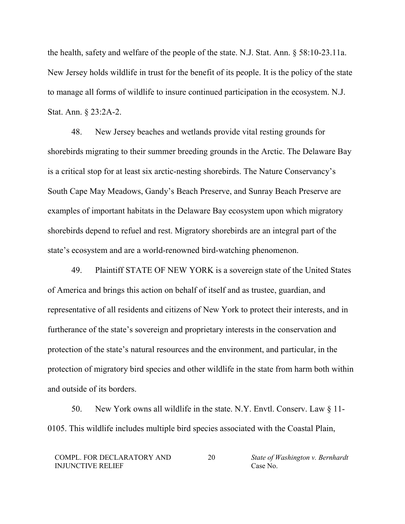the health, safety and welfare of the people of the state. N.J. Stat. Ann. § 58:10-23.11a. New Jersey holds wildlife in trust for the benefit of its people. It is the policy of the state to manage all forms of wildlife to insure continued participation in the ecosystem. N.J. Stat. Ann. § 23:2A-2.

48. New Jersey beaches and wetlands provide vital resting grounds for shorebirds migrating to their summer breeding grounds in the Arctic. The Delaware Bay is a critical stop for at least six arctic-nesting shorebirds. The Nature Conservancy's South Cape May Meadows, Gandy's Beach Preserve, and Sunray Beach Preserve are examples of important habitats in the Delaware Bay ecosystem upon which migratory shorebirds depend to refuel and rest. Migratory shorebirds are an integral part of the state's ecosystem and are a world-renowned bird-watching phenomenon.

49. Plaintiff STATE OF NEW YORK is a sovereign state of the United States of America and brings this action on behalf of itself and as trustee, guardian, and representative of all residents and citizens of New York to protect their interests, and in furtherance of the state's sovereign and proprietary interests in the conservation and protection of the state's natural resources and the environment, and particular, in the protection of migratory bird species and other wildlife in the state from harm both within and outside of its borders.

50. New York owns all wildlife in the state. N.Y. Envtl. Conserv. Law § 11- 0105. This wildlife includes multiple bird species associated with the Coastal Plain,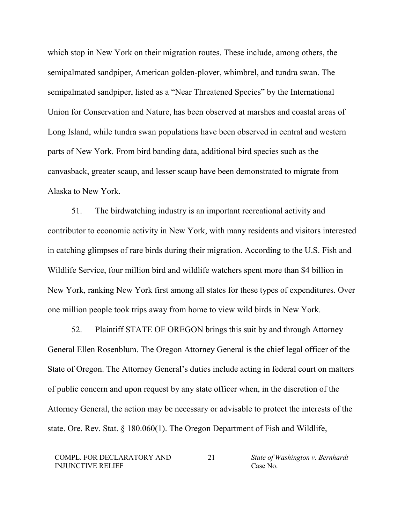which stop in New York on their migration routes. These include, among others, the semipalmated sandpiper, American golden-plover, whimbrel, and tundra swan. The semipalmated sandpiper, listed as a "Near Threatened Species" by the International Union for Conservation and Nature, has been observed at marshes and coastal areas of Long Island, while tundra swan populations have been observed in central and western parts of New York. From bird banding data, additional bird species such as the canvasback, greater scaup, and lesser scaup have been demonstrated to migrate from Alaska to New York.

51. The birdwatching industry is an important recreational activity and contributor to economic activity in New York, with many residents and visitors interested in catching glimpses of rare birds during their migration. According to the U.S. Fish and Wildlife Service, four million bird and wildlife watchers spent more than \$4 billion in New York, ranking New York first among all states for these types of expenditures. Over one million people took trips away from home to view wild birds in New York.

52. Plaintiff STATE OF OREGON brings this suit by and through Attorney General Ellen Rosenblum. The Oregon Attorney General is the chief legal officer of the State of Oregon. The Attorney General's duties include acting in federal court on matters of public concern and upon request by any state officer when, in the discretion of the Attorney General, the action may be necessary or advisable to protect the interests of the state. Ore. Rev. Stat. § 180.060(1). The Oregon Department of Fish and Wildlife,

COMPL. FOR DECLARATORY AND INJUNCTIVE RELIEF

21 *State of Washington v. Bernhardt* Case No.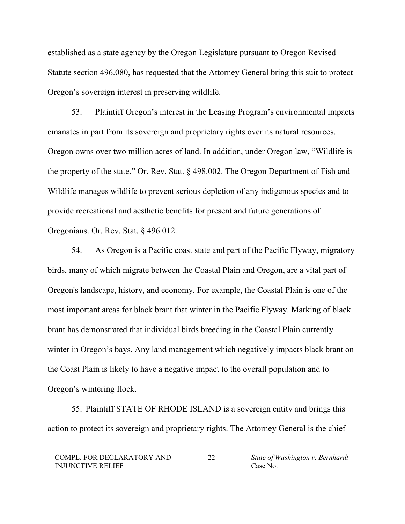established as a state agency by the Oregon Legislature pursuant to Oregon Revised Statute section 496.080, has requested that the Attorney General bring this suit to protect Oregon's sovereign interest in preserving wildlife.

53. Plaintiff Oregon's interest in the Leasing Program's environmental impacts emanates in part from its sovereign and proprietary rights over its natural resources. Oregon owns over two million acres of land. In addition, under Oregon law, "Wildlife is the property of the state." Or. Rev. Stat. § 498.002. The Oregon Department of Fish and Wildlife manages wildlife to prevent serious depletion of any indigenous species and to provide recreational and aesthetic benefits for present and future generations of Oregonians. Or. Rev. Stat. § 496.012.

54. As Oregon is a Pacific coast state and part of the Pacific Flyway, migratory birds, many of which migrate between the Coastal Plain and Oregon, are a vital part of Oregon's landscape, history, and economy. For example, the Coastal Plain is one of the most important areas for black brant that winter in the Pacific Flyway. Marking of black brant has demonstrated that individual birds breeding in the Coastal Plain currently winter in Oregon's bays. Any land management which negatively impacts black brant on the Coast Plain is likely to have a negative impact to the overall population and to Oregon's wintering flock.

55. Plaintiff STATE OF RHODE ISLAND is a sovereign entity and brings this action to protect its sovereign and proprietary rights. The Attorney General is the chief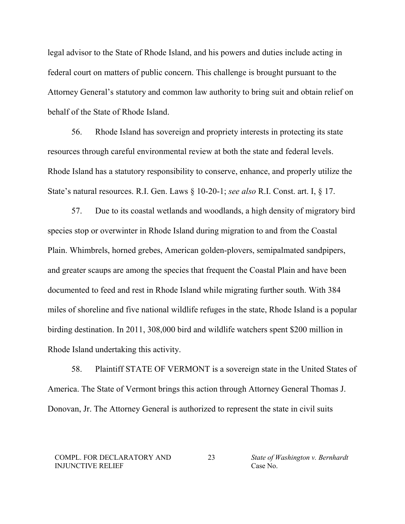legal advisor to the State of Rhode Island, and his powers and duties include acting in federal court on matters of public concern. This challenge is brought pursuant to the Attorney General's statutory and common law authority to bring suit and obtain relief on behalf of the State of Rhode Island.

56. Rhode Island has sovereign and propriety interests in protecting its state resources through careful environmental review at both the state and federal levels. Rhode Island has a statutory responsibility to conserve, enhance, and properly utilize the State's natural resources. R.I. Gen. Laws § 10-20-1; *see also* R.I. Const. art. I, § 17.

57. Due to its coastal wetlands and woodlands, a high density of migratory bird species stop or overwinter in Rhode Island during migration to and from the Coastal Plain. Whimbrels, horned grebes, American golden-plovers, semipalmated sandpipers, and greater scaups are among the species that frequent the Coastal Plain and have been documented to feed and rest in Rhode Island while migrating further south. With 384 miles of shoreline and five national wildlife refuges in the state, Rhode Island is a popular birding destination. In 2011, 308,000 bird and wildlife watchers spent \$200 million in Rhode Island undertaking this activity.

58. Plaintiff STATE OF VERMONT is a sovereign state in the United States of America. The State of Vermont brings this action through Attorney General Thomas J. Donovan, Jr. The Attorney General is authorized to represent the state in civil suits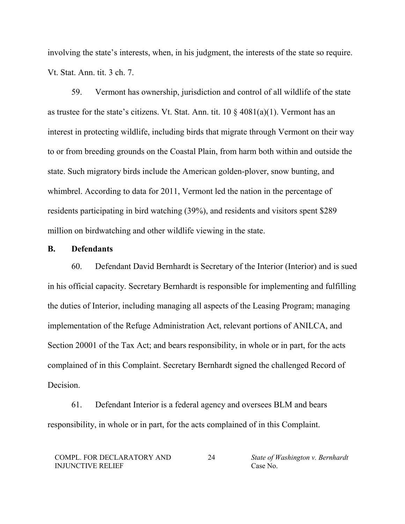involving the state's interests, when, in his judgment, the interests of the state so require. Vt. Stat. Ann. tit. 3 ch. 7.

59. Vermont has ownership, jurisdiction and control of all wildlife of the state as trustee for the state's citizens. Vt. Stat. Ann. tit.  $10 \frac{8}{9}$  4081(a)(1). Vermont has an interest in protecting wildlife, including birds that migrate through Vermont on their way to or from breeding grounds on the Coastal Plain, from harm both within and outside the state. Such migratory birds include the American golden-plover, snow bunting, and whimbrel. According to data for 2011, Vermont led the nation in the percentage of residents participating in bird watching (39%), and residents and visitors spent \$289 million on birdwatching and other wildlife viewing in the state.

#### **B. Defendants**

60. Defendant David Bernhardt is Secretary of the Interior (Interior) and is sued in his official capacity. Secretary Bernhardt is responsible for implementing and fulfilling the duties of Interior, including managing all aspects of the Leasing Program; managing implementation of the Refuge Administration Act, relevant portions of ANILCA, and Section 20001 of the Tax Act; and bears responsibility, in whole or in part, for the acts complained of in this Complaint. Secretary Bernhardt signed the challenged Record of Decision.

61. Defendant Interior is a federal agency and oversees BLM and bears responsibility, in whole or in part, for the acts complained of in this Complaint.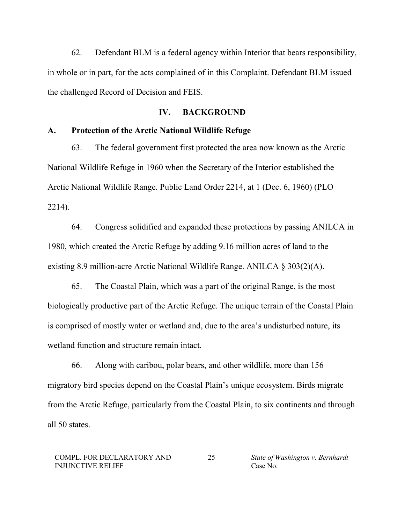62. Defendant BLM is a federal agency within Interior that bears responsibility, in whole or in part, for the acts complained of in this Complaint. Defendant BLM issued the challenged Record of Decision and FEIS.

## **IV. BACKGROUND**

## **A. Protection of the Arctic National Wildlife Refuge**

63. The federal government first protected the area now known as the Arctic National Wildlife Refuge in 1960 when the Secretary of the Interior established the Arctic National Wildlife Range. Public Land Order 2214, at 1 (Dec. 6, 1960) (PLO 2214).

64. Congress solidified and expanded these protections by passing ANILCA in 1980, which created the Arctic Refuge by adding 9.16 million acres of land to the existing 8.9 million-acre Arctic National Wildlife Range. ANILCA § 303(2)(A).

65. The Coastal Plain, which was a part of the original Range, is the most biologically productive part of the Arctic Refuge. The unique terrain of the Coastal Plain is comprised of mostly water or wetland and, due to the area's undisturbed nature, its wetland function and structure remain intact.

66. Along with caribou, polar bears, and other wildlife, more than 156 migratory bird species depend on the Coastal Plain's unique ecosystem. Birds migrate from the Arctic Refuge, particularly from the Coastal Plain, to six continents and through all 50 states.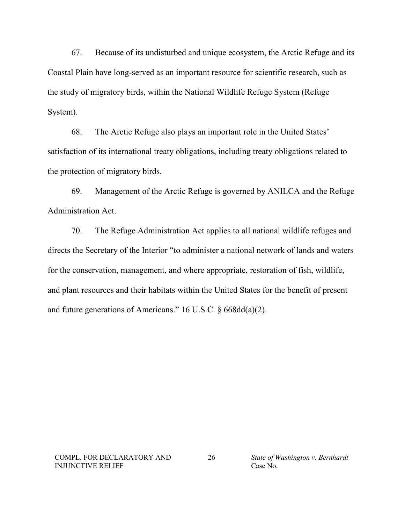67. Because of its undisturbed and unique ecosystem, the Arctic Refuge and its Coastal Plain have long-served as an important resource for scientific research, such as the study of migratory birds, within the National Wildlife Refuge System (Refuge System).

68. The Arctic Refuge also plays an important role in the United States' satisfaction of its international treaty obligations, including treaty obligations related to the protection of migratory birds.

69. Management of the Arctic Refuge is governed by ANILCA and the Refuge Administration Act.

70. The Refuge Administration Act applies to all national wildlife refuges and directs the Secretary of the Interior "to administer a national network of lands and waters for the conservation, management, and where appropriate, restoration of fish, wildlife, and plant resources and their habitats within the United States for the benefit of present and future generations of Americans." 16 U.S.C. § 668dd(a)(2).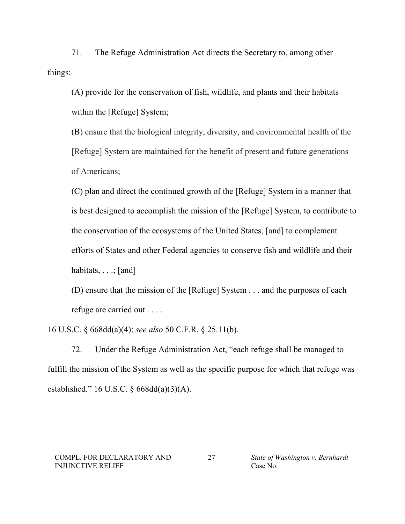71. The Refuge Administration Act directs the Secretary to, among other things:

(A) provide for the conservation of fish, wildlife, and plants and their habitats within the [Refuge] System;

(B) ensure that the biological integrity, diversity, and environmental health of the [Refuge] System are maintained for the benefit of present and future generations of Americans;

(C) plan and direct the continued growth of the [Refuge] System in a manner that is best designed to accomplish the mission of the [Refuge] System, to contribute to the conservation of the ecosystems of the United States, [and] to complement efforts of States and other Federal agencies to conserve fish and wildlife and their habitats,  $\ldots$ ; [and]

(D) ensure that the mission of the [Refuge] System . . . and the purposes of each refuge are carried out . . . .

16 U.S.C. § 668dd(a)(4); *see also* 50 C.F.R. § 25.11(b).

72. Under the Refuge Administration Act, "each refuge shall be managed to fulfill the mission of the System as well as the specific purpose for which that refuge was established." 16 U.S.C. § 668dd(a)(3)(A).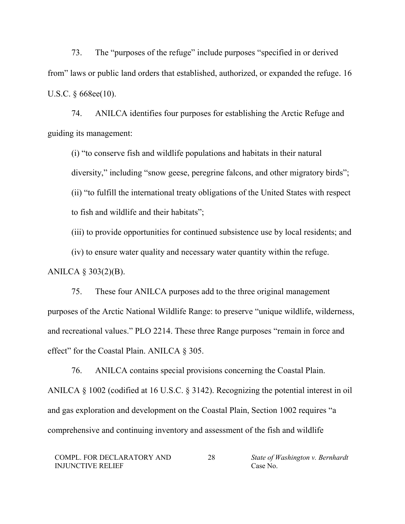73. The "purposes of the refuge" include purposes "specified in or derived from" laws or public land orders that established, authorized, or expanded the refuge. 16 U.S.C. § 668ee(10).

74. ANILCA identifies four purposes for establishing the Arctic Refuge and guiding its management:

(i) "to conserve fish and wildlife populations and habitats in their natural diversity," including "snow geese, peregrine falcons, and other migratory birds"; (ii) "to fulfill the international treaty obligations of the United States with respect to fish and wildlife and their habitats";

(iii) to provide opportunities for continued subsistence use by local residents; and

(iv) to ensure water quality and necessary water quantity within the refuge.

ANILCA § 303(2)(B).

75. These four ANILCA purposes add to the three original management purposes of the Arctic National Wildlife Range: to preserve "unique wildlife, wilderness, and recreational values." PLO 2214. These three Range purposes "remain in force and effect" for the Coastal Plain. ANILCA § 305.

76. ANILCA contains special provisions concerning the Coastal Plain. ANILCA § 1002 (codified at 16 U.S.C. § 3142). Recognizing the potential interest in oil and gas exploration and development on the Coastal Plain, Section 1002 requires "a comprehensive and continuing inventory and assessment of the fish and wildlife

28 *State of Washington v. Bernhardt* Case No.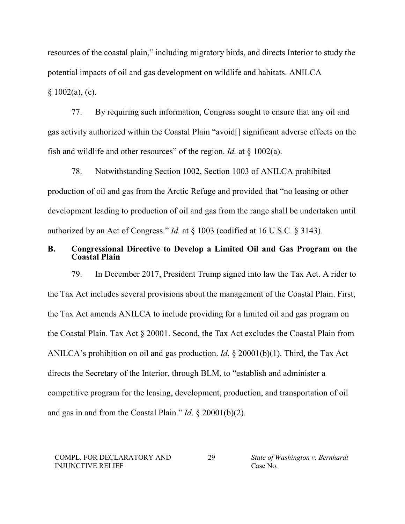resources of the coastal plain," including migratory birds, and directs Interior to study the potential impacts of oil and gas development on wildlife and habitats. ANILCA  $§ 1002(a), (c).$ 

77. By requiring such information, Congress sought to ensure that any oil and gas activity authorized within the Coastal Plain "avoid[] significant adverse effects on the fish and wildlife and other resources" of the region. *Id.* at § 1002(a).

78. Notwithstanding Section 1002, Section 1003 of ANILCA prohibited production of oil and gas from the Arctic Refuge and provided that "no leasing or other development leading to production of oil and gas from the range shall be undertaken until authorized by an Act of Congress." *Id.* at § 1003 (codified at 16 U.S.C. § 3143).

## **B. Congressional Directive to Develop a Limited Oil and Gas Program on the Coastal Plain**

79. In December 2017, President Trump signed into law the Tax Act. A rider to the Tax Act includes several provisions about the management of the Coastal Plain. First, the Tax Act amends ANILCA to include providing for a limited oil and gas program on the Coastal Plain. Tax Act § 20001. Second, the Tax Act excludes the Coastal Plain from ANILCA's prohibition on oil and gas production. *Id*. § 20001(b)(1). Third, the Tax Act directs the Secretary of the Interior, through BLM, to "establish and administer a competitive program for the leasing, development, production, and transportation of oil and gas in and from the Coastal Plain." *Id*. § 20001(b)(2).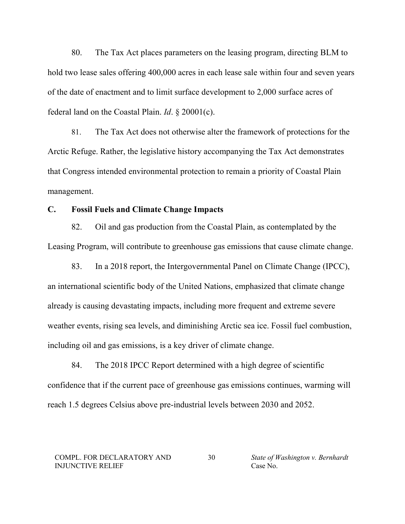80. The Tax Act places parameters on the leasing program, directing BLM to hold two lease sales offering 400,000 acres in each lease sale within four and seven years of the date of enactment and to limit surface development to 2,000 surface acres of federal land on the Coastal Plain. *Id*. § 20001(c).

81. The Tax Act does not otherwise alter the framework of protections for the Arctic Refuge. Rather, the legislative history accompanying the Tax Act demonstrates that Congress intended environmental protection to remain a priority of Coastal Plain management.

## **C. Fossil Fuels and Climate Change Impacts**

82. Oil and gas production from the Coastal Plain, as contemplated by the Leasing Program, will contribute to greenhouse gas emissions that cause climate change.

83. In a 2018 report, the Intergovernmental Panel on Climate Change (IPCC), an international scientific body of the United Nations, emphasized that climate change already is causing devastating impacts, including more frequent and extreme severe weather events, rising sea levels, and diminishing Arctic sea ice. Fossil fuel combustion, including oil and gas emissions, is a key driver of climate change.

84. The 2018 IPCC Report determined with a high degree of scientific confidence that if the current pace of greenhouse gas emissions continues, warming will reach 1.5 degrees Celsius above pre-industrial levels between 2030 and 2052.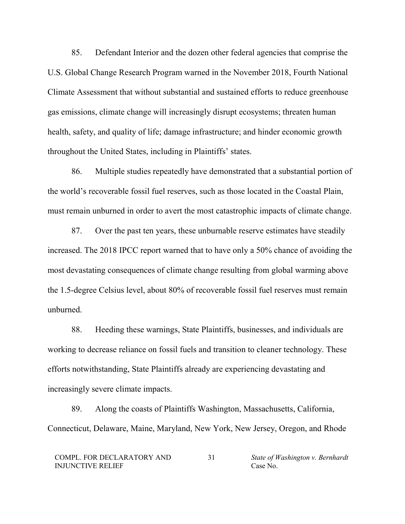85. Defendant Interior and the dozen other federal agencies that comprise the U.S. Global Change Research Program warned in the November 2018, Fourth National Climate Assessment that without substantial and sustained efforts to reduce greenhouse gas emissions, climate change will increasingly disrupt ecosystems; threaten human health, safety, and quality of life; damage infrastructure; and hinder economic growth throughout the United States, including in Plaintiffs' states.

86. Multiple studies repeatedly have demonstrated that a substantial portion of the world's recoverable fossil fuel reserves, such as those located in the Coastal Plain, must remain unburned in order to avert the most catastrophic impacts of climate change.

87. Over the past ten years, these unburnable reserve estimates have steadily increased. The 2018 IPCC report warned that to have only a 50% chance of avoiding the most devastating consequences of climate change resulting from global warming above the 1.5-degree Celsius level, about 80% of recoverable fossil fuel reserves must remain unburned.

88. Heeding these warnings, State Plaintiffs, businesses, and individuals are working to decrease reliance on fossil fuels and transition to cleaner technology. These efforts notwithstanding, State Plaintiffs already are experiencing devastating and increasingly severe climate impacts.

89. Along the coasts of Plaintiffs Washington, Massachusetts, California, Connecticut, Delaware, Maine, Maryland, New York, New Jersey, Oregon, and Rhode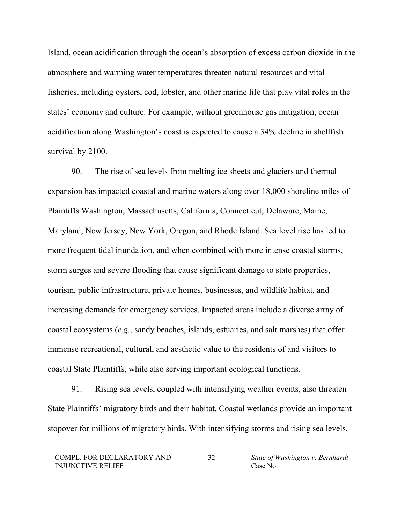Island, ocean acidification through the ocean's absorption of excess carbon dioxide in the atmosphere and warming water temperatures threaten natural resources and vital fisheries, including oysters, cod, lobster, and other marine life that play vital roles in the states' economy and culture. For example, without greenhouse gas mitigation, ocean acidification along Washington's coast is expected to cause a 34% decline in shellfish survival by 2100.

90. The rise of sea levels from melting ice sheets and glaciers and thermal expansion has impacted coastal and marine waters along over 18,000 shoreline miles of Plaintiffs Washington, Massachusetts, California, Connecticut, Delaware, Maine, Maryland, New Jersey, New York, Oregon, and Rhode Island. Sea level rise has led to more frequent tidal inundation, and when combined with more intense coastal storms, storm surges and severe flooding that cause significant damage to state properties, tourism, public infrastructure, private homes, businesses, and wildlife habitat, and increasing demands for emergency services. Impacted areas include a diverse array of coastal ecosystems (*e.g.*, sandy beaches, islands, estuaries, and salt marshes) that offer immense recreational, cultural, and aesthetic value to the residents of and visitors to coastal State Plaintiffs, while also serving important ecological functions.

91. Rising sea levels, coupled with intensifying weather events, also threaten State Plaintiffs' migratory birds and their habitat. Coastal wetlands provide an important stopover for millions of migratory birds. With intensifying storms and rising sea levels,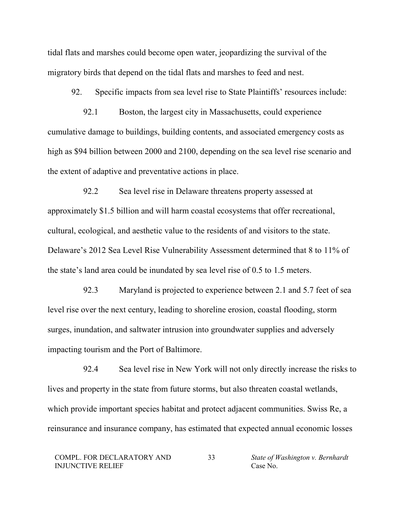tidal flats and marshes could become open water, jeopardizing the survival of the migratory birds that depend on the tidal flats and marshes to feed and nest.

92. Specific impacts from sea level rise to State Plaintiffs' resources include:

92.1 Boston, the largest city in Massachusetts, could experience cumulative damage to buildings, building contents, and associated emergency costs as high as \$94 billion between 2000 and 2100, depending on the sea level rise scenario and the extent of adaptive and preventative actions in place.

92.2 Sea level rise in Delaware threatens property assessed at approximately \$1.5 billion and will harm coastal ecosystems that offer recreational, cultural, ecological, and aesthetic value to the residents of and visitors to the state. Delaware's 2012 Sea Level Rise Vulnerability Assessment determined that 8 to 11% of the state's land area could be inundated by sea level rise of 0.5 to 1.5 meters.

92.3 Maryland is projected to experience between 2.1 and 5.7 feet of sea level rise over the next century, leading to shoreline erosion, coastal flooding, storm surges, inundation, and saltwater intrusion into groundwater supplies and adversely impacting tourism and the Port of Baltimore.

92.4 Sea level rise in New York will not only directly increase the risks to lives and property in the state from future storms, but also threaten coastal wetlands, which provide important species habitat and protect adjacent communities. Swiss Re, a reinsurance and insurance company, has estimated that expected annual economic losses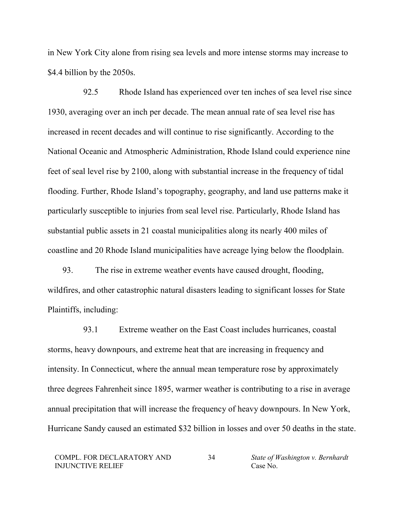in New York City alone from rising sea levels and more intense storms may increase to \$4.4 billion by the 2050s.

92.5 Rhode Island has experienced over ten inches of sea level rise since 1930, averaging over an inch per decade. The mean annual rate of sea level rise has increased in recent decades and will continue to rise significantly. According to the National Oceanic and Atmospheric Administration, Rhode Island could experience nine feet of seal level rise by 2100, along with substantial increase in the frequency of tidal flooding. Further, Rhode Island's topography, geography, and land use patterns make it particularly susceptible to injuries from seal level rise. Particularly, Rhode Island has substantial public assets in 21 coastal municipalities along its nearly 400 miles of coastline and 20 Rhode Island municipalities have acreage lying below the floodplain.

93. The rise in extreme weather events have caused drought, flooding, wildfires, and other catastrophic natural disasters leading to significant losses for State Plaintiffs, including:

93.1 Extreme weather on the East Coast includes hurricanes, coastal storms, heavy downpours, and extreme heat that are increasing in frequency and intensity. In Connecticut, where the annual mean temperature rose by approximately three degrees Fahrenheit since 1895, warmer weather is contributing to a rise in average annual precipitation that will increase the frequency of heavy downpours. In New York, Hurricane Sandy caused an estimated \$32 billion in losses and over 50 deaths in the state.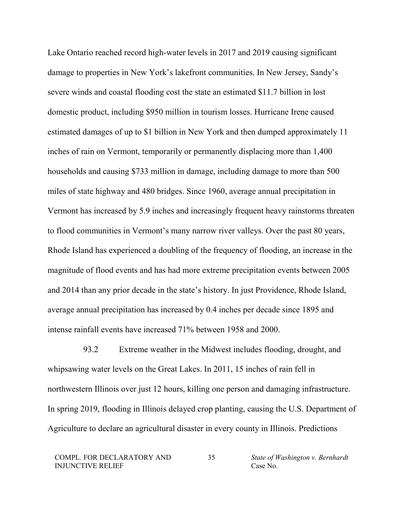Lake Ontario reached record high-water levels in 2017 and 2019 causing significant damage to properties in New York's lakefront communities. In New Jersey, Sandy's severe winds and coastal flooding cost the state an estimated \$11.7 billion in lost domestic product, including \$950 million in tourism losses. Hurricane Irene caused estimated damages of up to \$1 billion in New York and then dumped approximately 11 inches of rain on Vermont, temporarily or permanently displacing more than 1,400 households and causing \$733 million in damage, including damage to more than 500 miles of state highway and 480 bridges. Since 1960, average annual precipitation in Vermont has increased by 5.9 inches and increasingly frequent heavy rainstorms threaten to flood communities in Vermont's many narrow river valleys. Over the past 80 years, Rhode Island has experienced a doubling of the frequency of flooding, an increase in the magnitude of flood events and has had more extreme precipitation events between 2005 and 2014 than any prior decade in the state's history. In just Providence, Rhode Island, average annual precipitation has increased by 0.4 inches per decade since 1895 and intense rainfall events have increased 71% between 1958 and 2000.

93.2 Extreme weather in the Midwest includes flooding, drought, and whipsawing water levels on the Great Lakes. In 2011, 15 inches of rain fell in northwestern Illinois over just 12 hours, killing one person and damaging infrastructure. In spring 2019, flooding in Illinois delayed crop planting, causing the U.S. Department of Agriculture to declare an agricultural disaster in every county in Illinois. Predictions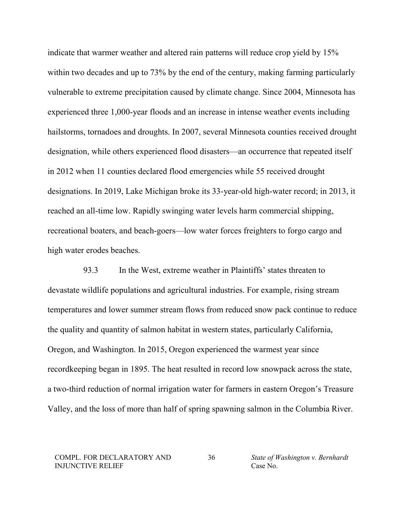indicate that warmer weather and altered rain patterns will reduce crop yield by 15% within two decades and up to 73% by the end of the century, making farming particularly vulnerable to extreme precipitation caused by climate change. Since 2004, Minnesota has experienced three 1,000-year floods and an increase in intense weather events including hailstorms, tornadoes and droughts. In 2007, several Minnesota counties received drought designation, while others experienced flood disasters—an occurrence that repeated itself in 2012 when 11 counties declared flood emergencies while 55 received drought designations. In 2019, Lake Michigan broke its 33-year-old high-water record; in 2013, it reached an all-time low. Rapidly swinging water levels harm commercial shipping, recreational boaters, and beach-goers—low water forces freighters to forgo cargo and high water erodes beaches.

93.3 In the West, extreme weather in Plaintiffs' states threaten to devastate wildlife populations and agricultural industries. For example, rising stream temperatures and lower summer stream flows from reduced snow pack continue to reduce the quality and quantity of salmon habitat in western states, particularly California, Oregon, and Washington. In 2015, Oregon experienced the warmest year since recordkeeping began in 1895. The heat resulted in record low snowpack across the state, a two-third reduction of normal irrigation water for farmers in eastern Oregon's Treasure Valley, and the loss of more than half of spring spawning salmon in the Columbia River.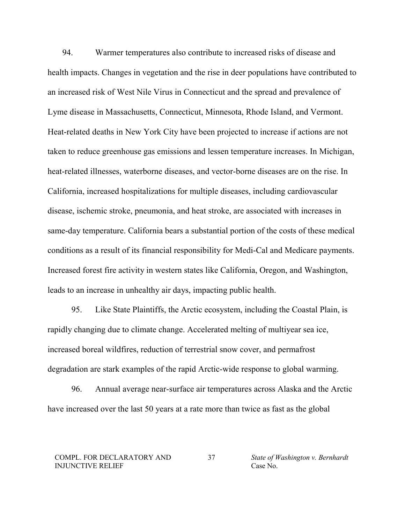94. Warmer temperatures also contribute to increased risks of disease and health impacts. Changes in vegetation and the rise in deer populations have contributed to an increased risk of West Nile Virus in Connecticut and the spread and prevalence of Lyme disease in Massachusetts, Connecticut, Minnesota, Rhode Island, and Vermont. Heat-related deaths in New York City have been projected to increase if actions are not taken to reduce greenhouse gas emissions and lessen temperature increases. In Michigan, heat-related illnesses, waterborne diseases, and vector-borne diseases are on the rise. In California, increased hospitalizations for multiple diseases, including cardiovascular disease, ischemic stroke, pneumonia, and heat stroke, are associated with increases in same-day temperature. California bears a substantial portion of the costs of these medical conditions as a result of its financial responsibility for Medi-Cal and Medicare payments. Increased forest fire activity in western states like California, Oregon, and Washington, leads to an increase in unhealthy air days, impacting public health.

95. Like State Plaintiffs, the Arctic ecosystem, including the Coastal Plain, is rapidly changing due to climate change. Accelerated melting of multiyear sea ice, increased boreal wildfires, reduction of terrestrial snow cover, and permafrost degradation are stark examples of the rapid Arctic-wide response to global warming.

96. Annual average near-surface air temperatures across Alaska and the Arctic have increased over the last 50 years at a rate more than twice as fast as the global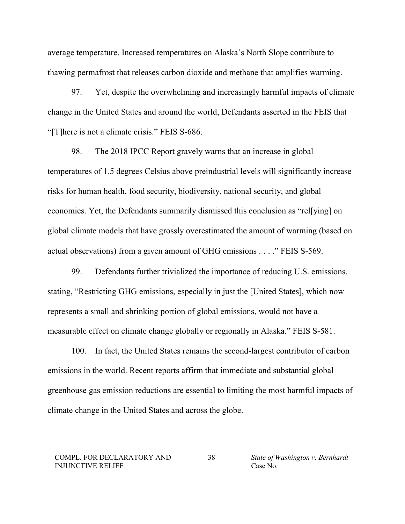average temperature. Increased temperatures on Alaska's North Slope contribute to thawing permafrost that releases carbon dioxide and methane that amplifies warming.

97. Yet, despite the overwhelming and increasingly harmful impacts of climate change in the United States and around the world, Defendants asserted in the FEIS that "[T]here is not a climate crisis." FEIS S-686.

98. The 2018 IPCC Report gravely warns that an increase in global temperatures of 1.5 degrees Celsius above preindustrial levels will significantly increase risks for human health, food security, biodiversity, national security, and global economies. Yet, the Defendants summarily dismissed this conclusion as "rel[ying] on global climate models that have grossly overestimated the amount of warming (based on actual observations) from a given amount of GHG emissions . . . ." FEIS S-569.

99. Defendants further trivialized the importance of reducing U.S. emissions, stating, "Restricting GHG emissions, especially in just the [United States], which now represents a small and shrinking portion of global emissions, would not have a measurable effect on climate change globally or regionally in Alaska." FEIS S-581.

100. In fact, the United States remains the second-largest contributor of carbon emissions in the world. Recent reports affirm that immediate and substantial global greenhouse gas emission reductions are essential to limiting the most harmful impacts of climate change in the United States and across the globe.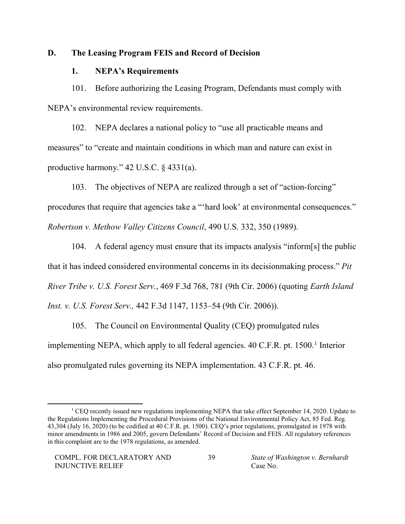## **D. The Leasing Program FEIS and Record of Decision**

## **1. NEPA's Requirements**

101. Before authorizing the Leasing Program, Defendants must comply with NEPA's environmental review requirements.

102. NEPA declares a national policy to "use all practicable means and measures" to "create and maintain conditions in which man and nature can exist in productive harmony." 42 U.S.C. § 4331(a).

103. The objectives of NEPA are realized through a set of "action-forcing" procedures that require that agencies take a "'hard look' at environmental consequences." *Robertson v. Methow Valley Citizens Council*, 490 U.S. 332, 350 (1989).

104. A federal agency must ensure that its impacts analysis "inform[s] the public that it has indeed considered environmental concerns in its decisionmaking process." *Pit River Tribe v. U.S. Forest Serv.*, 469 F.3d 768, 781 (9th Cir. 2006) (quoting *Earth Island Inst. v. U.S. Forest Serv.,* 442 F.3d 1147, 1153–54 (9th Cir. 2006)).

105. The Council on Environmental Quality (CEQ) promulgated rules implementing NEPA, which apply to all federal agencies. 40 C.F.R. pt. [1](#page-38-0)500.<sup>1</sup> Interior also promulgated rules governing its NEPA implementation. 43 C.F.R. pt. 46.

<span id="page-38-0"></span><sup>&</sup>lt;sup>1</sup> CEQ recently issued new regulations implementing NEPA that take effect September 14, 2020. Update to the Regulations Implementing the Procedural Provisions of the National Environmental Policy Act, 85 Fed. Reg. 43,304 (July 16, 2020) (to be codified at 40 C.F.R. pt. 1500). CEQ's prior regulations, promulgated in 1978 with minor amendments in 1986 and 2005, govern Defendants' Record of Decision and FEIS. All regulatory references in this complaint are to the 1978 regulations, as amended.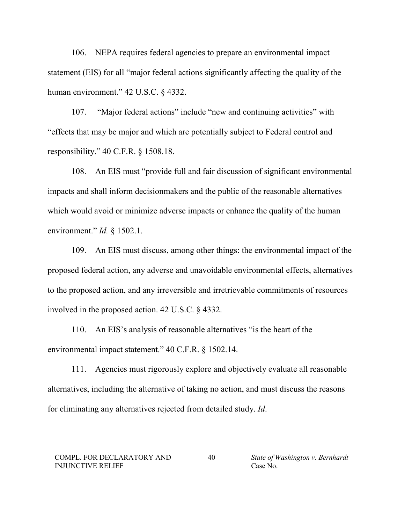106. NEPA requires federal agencies to prepare an environmental impact statement (EIS) for all "major federal actions significantly affecting the quality of the human environment." 42 U.S.C. § 4332.

107. "Major federal actions" include "new and continuing activities" with "effects that may be major and which are potentially subject to Federal control and responsibility." 40 C.F.R. § 1508.18.

108. An EIS must "provide full and fair discussion of significant environmental impacts and shall inform decisionmakers and the public of the reasonable alternatives which would avoid or minimize adverse impacts or enhance the quality of the human environment." *Id.* § 1502.1.

109. An EIS must discuss, among other things: the environmental impact of the proposed federal action, any adverse and unavoidable environmental effects, alternatives to the proposed action, and any irreversible and irretrievable commitments of resources involved in the proposed action. 42 U.S.C. § 4332.

110. An EIS's analysis of reasonable alternatives "is the heart of the environmental impact statement." 40 C.F.R. § 1502.14.

111. Agencies must rigorously explore and objectively evaluate all reasonable alternatives, including the alternative of taking no action, and must discuss the reasons for eliminating any alternatives rejected from detailed study. *Id*.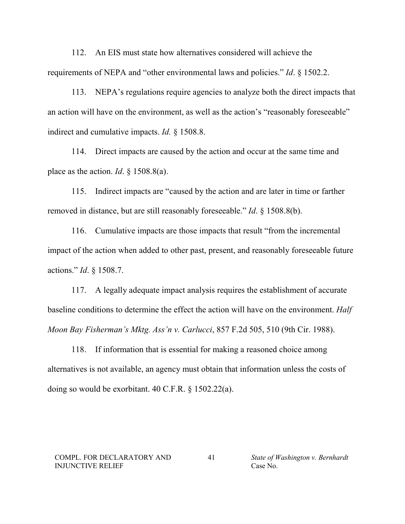112. An EIS must state how alternatives considered will achieve the requirements of NEPA and "other environmental laws and policies." *Id*. § 1502.2.

113. NEPA's regulations require agencies to analyze both the direct impacts that an action will have on the environment, as well as the action's "reasonably foreseeable" indirect and cumulative impacts. *Id.* § 1508.8.

114. Direct impacts are caused by the action and occur at the same time and place as the action. *Id.*  $\frac{1}{2}$  1508.8(a).

115. Indirect impacts are "caused by the action and are later in time or farther removed in distance, but are still reasonably foreseeable." *Id*. § 1508.8(b).

116. Cumulative impacts are those impacts that result "from the incremental impact of the action when added to other past, present, and reasonably foreseeable future actions." *Id*. § 1508.7.

117. A legally adequate impact analysis requires the establishment of accurate baseline conditions to determine the effect the action will have on the environment. *Half Moon Bay Fisherman's Mktg. Ass'n v. Carlucci*, 857 F.2d 505, 510 (9th Cir. 1988).

118. If information that is essential for making a reasoned choice among alternatives is not available, an agency must obtain that information unless the costs of doing so would be exorbitant. 40 C.F.R. § 1502.22(a).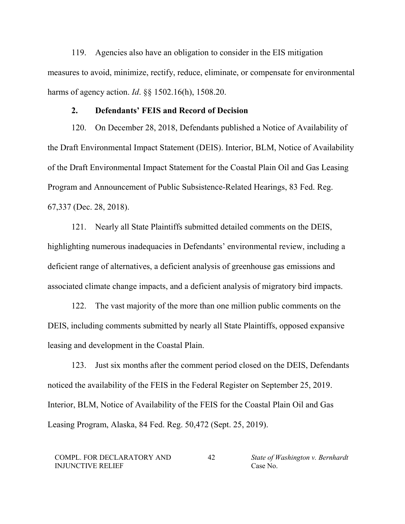119. Agencies also have an obligation to consider in the EIS mitigation measures to avoid, minimize, rectify, reduce, eliminate, or compensate for environmental harms of agency action. *Id*. §§ 1502.16(h), 1508.20.

### **2. Defendants' FEIS and Record of Decision**

120. On December 28, 2018, Defendants published a Notice of Availability of the Draft Environmental Impact Statement (DEIS). Interior, BLM, Notice of Availability of the Draft Environmental Impact Statement for the Coastal Plain Oil and Gas Leasing Program and Announcement of Public Subsistence-Related Hearings, 83 Fed. Reg. 67,337 (Dec. 28, 2018).

121. Nearly all State Plaintiffs submitted detailed comments on the DEIS, highlighting numerous inadequacies in Defendants' environmental review, including a deficient range of alternatives, a deficient analysis of greenhouse gas emissions and associated climate change impacts, and a deficient analysis of migratory bird impacts.

122. The vast majority of the more than one million public comments on the DEIS, including comments submitted by nearly all State Plaintiffs, opposed expansive leasing and development in the Coastal Plain.

123. Just six months after the comment period closed on the DEIS, Defendants noticed the availability of the FEIS in the Federal Register on September 25, 2019. Interior, BLM, Notice of Availability of the FEIS for the Coastal Plain Oil and Gas Leasing Program, Alaska, 84 Fed. Reg. 50,472 (Sept. 25, 2019).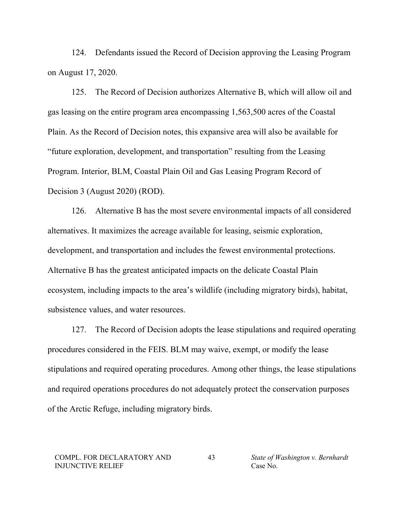124. Defendants issued the Record of Decision approving the Leasing Program on August 17, 2020.

125. The Record of Decision authorizes Alternative B, which will allow oil and gas leasing on the entire program area encompassing 1,563,500 acres of the Coastal Plain. As the Record of Decision notes, this expansive area will also be available for "future exploration, development, and transportation" resulting from the Leasing Program. Interior, BLM, Coastal Plain Oil and Gas Leasing Program Record of Decision 3 (August 2020) (ROD).

126. Alternative B has the most severe environmental impacts of all considered alternatives. It maximizes the acreage available for leasing, seismic exploration, development, and transportation and includes the fewest environmental protections. Alternative B has the greatest anticipated impacts on the delicate Coastal Plain ecosystem, including impacts to the area's wildlife (including migratory birds), habitat, subsistence values, and water resources.

127. The Record of Decision adopts the lease stipulations and required operating procedures considered in the FEIS. BLM may waive, exempt, or modify the lease stipulations and required operating procedures. Among other things, the lease stipulations and required operations procedures do not adequately protect the conservation purposes of the Arctic Refuge, including migratory birds.

#### COMPL. FOR DECLARATORY AND INJUNCTIVE RELIEF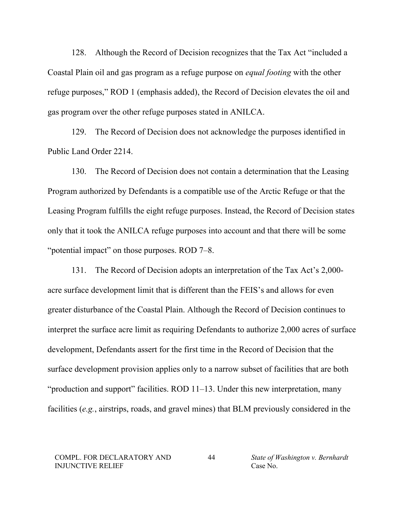128. Although the Record of Decision recognizes that the Tax Act "included a Coastal Plain oil and gas program as a refuge purpose on *equal footing* with the other refuge purposes," ROD 1 (emphasis added), the Record of Decision elevates the oil and gas program over the other refuge purposes stated in ANILCA.

129. The Record of Decision does not acknowledge the purposes identified in Public Land Order 2214.

130. The Record of Decision does not contain a determination that the Leasing Program authorized by Defendants is a compatible use of the Arctic Refuge or that the Leasing Program fulfills the eight refuge purposes. Instead, the Record of Decision states only that it took the ANILCA refuge purposes into account and that there will be some "potential impact" on those purposes. ROD 7–8.

131. The Record of Decision adopts an interpretation of the Tax Act's 2,000 acre surface development limit that is different than the FEIS's and allows for even greater disturbance of the Coastal Plain. Although the Record of Decision continues to interpret the surface acre limit as requiring Defendants to authorize 2,000 acres of surface development, Defendants assert for the first time in the Record of Decision that the surface development provision applies only to a narrow subset of facilities that are both "production and support" facilities. ROD 11–13. Under this new interpretation, many facilities (*e.g.*, airstrips, roads, and gravel mines) that BLM previously considered in the

COMPL. FOR DECLARATORY AND INJUNCTIVE RELIEF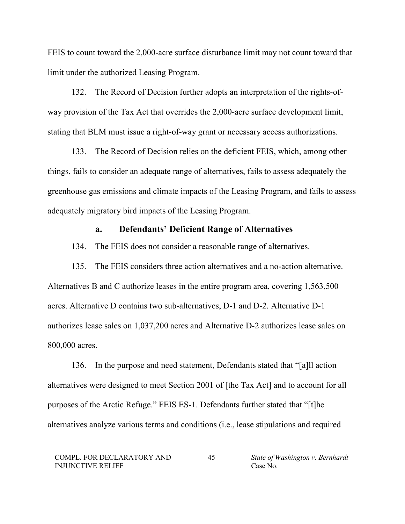FEIS to count toward the 2,000-acre surface disturbance limit may not count toward that limit under the authorized Leasing Program.

132. The Record of Decision further adopts an interpretation of the rights-ofway provision of the Tax Act that overrides the 2,000-acre surface development limit, stating that BLM must issue a right-of-way grant or necessary access authorizations.

133. The Record of Decision relies on the deficient FEIS, which, among other things, fails to consider an adequate range of alternatives, fails to assess adequately the greenhouse gas emissions and climate impacts of the Leasing Program, and fails to assess adequately migratory bird impacts of the Leasing Program.

# **a. Defendants' Deficient Range of Alternatives**

134. The FEIS does not consider a reasonable range of alternatives.

135. The FEIS considers three action alternatives and a no-action alternative. Alternatives B and C authorize leases in the entire program area, covering 1,563,500 acres. Alternative D contains two sub-alternatives, D-1 and D-2. Alternative D-1 authorizes lease sales on 1,037,200 acres and Alternative D-2 authorizes lease sales on 800,000 acres.

136. In the purpose and need statement, Defendants stated that "[a]ll action alternatives were designed to meet Section 2001 of [the Tax Act] and to account for all purposes of the Arctic Refuge." FEIS ES-1. Defendants further stated that "[t]he alternatives analyze various terms and conditions (i.e., lease stipulations and required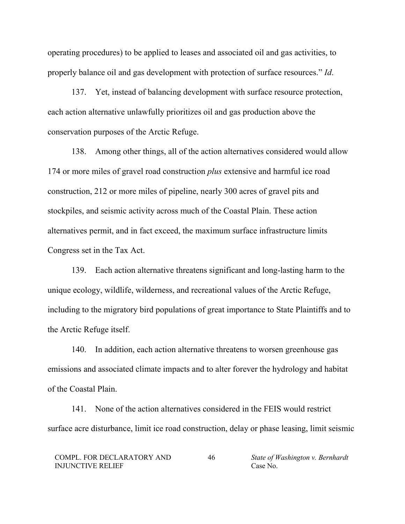operating procedures) to be applied to leases and associated oil and gas activities, to properly balance oil and gas development with protection of surface resources." *Id*.

137. Yet, instead of balancing development with surface resource protection, each action alternative unlawfully prioritizes oil and gas production above the conservation purposes of the Arctic Refuge.

138. Among other things, all of the action alternatives considered would allow 174 or more miles of gravel road construction *plus* extensive and harmful ice road construction, 212 or more miles of pipeline, nearly 300 acres of gravel pits and stockpiles, and seismic activity across much of the Coastal Plain. These action alternatives permit, and in fact exceed, the maximum surface infrastructure limits Congress set in the Tax Act.

139. Each action alternative threatens significant and long-lasting harm to the unique ecology, wildlife, wilderness, and recreational values of the Arctic Refuge, including to the migratory bird populations of great importance to State Plaintiffs and to the Arctic Refuge itself.

140. In addition, each action alternative threatens to worsen greenhouse gas emissions and associated climate impacts and to alter forever the hydrology and habitat of the Coastal Plain.

141. None of the action alternatives considered in the FEIS would restrict surface acre disturbance, limit ice road construction, delay or phase leasing, limit seismic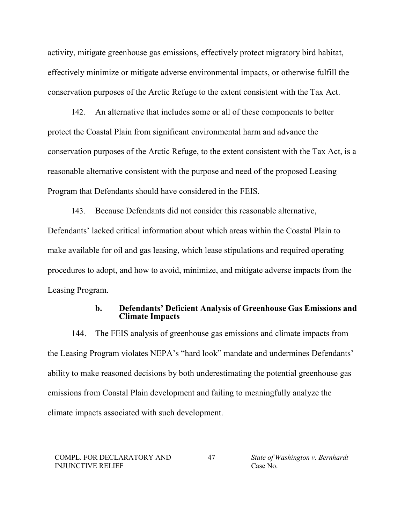activity, mitigate greenhouse gas emissions, effectively protect migratory bird habitat, effectively minimize or mitigate adverse environmental impacts, or otherwise fulfill the conservation purposes of the Arctic Refuge to the extent consistent with the Tax Act.

142. An alternative that includes some or all of these components to better protect the Coastal Plain from significant environmental harm and advance the conservation purposes of the Arctic Refuge, to the extent consistent with the Tax Act, is a reasonable alternative consistent with the purpose and need of the proposed Leasing Program that Defendants should have considered in the FEIS.

143. Because Defendants did not consider this reasonable alternative, Defendants' lacked critical information about which areas within the Coastal Plain to make available for oil and gas leasing, which lease stipulations and required operating procedures to adopt, and how to avoid, minimize, and mitigate adverse impacts from the Leasing Program.

## **b. Defendants' Deficient Analysis of Greenhouse Gas Emissions and Climate Impacts**

144. The FEIS analysis of greenhouse gas emissions and climate impacts from the Leasing Program violates NEPA's "hard look" mandate and undermines Defendants' ability to make reasoned decisions by both underestimating the potential greenhouse gas emissions from Coastal Plain development and failing to meaningfully analyze the climate impacts associated with such development.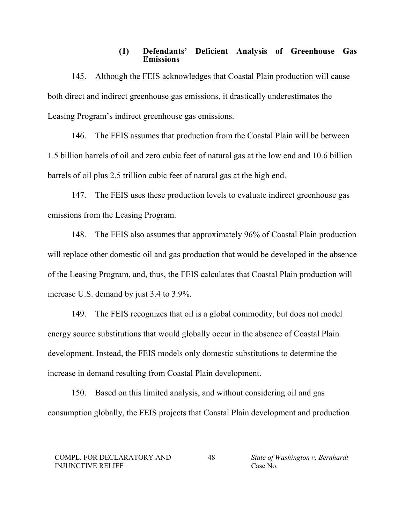## **(1) Defendants' Deficient Analysis of Greenhouse Gas Emissions**

145. Although the FEIS acknowledges that Coastal Plain production will cause both direct and indirect greenhouse gas emissions, it drastically underestimates the Leasing Program's indirect greenhouse gas emissions.

146. The FEIS assumes that production from the Coastal Plain will be between 1.5 billion barrels of oil and zero cubic feet of natural gas at the low end and 10.6 billion barrels of oil plus 2.5 trillion cubic feet of natural gas at the high end.

147. The FEIS uses these production levels to evaluate indirect greenhouse gas emissions from the Leasing Program.

148. The FEIS also assumes that approximately 96% of Coastal Plain production will replace other domestic oil and gas production that would be developed in the absence of the Leasing Program, and, thus, the FEIS calculates that Coastal Plain production will increase U.S. demand by just 3.4 to 3.9%.

149. The FEIS recognizes that oil is a global commodity, but does not model energy source substitutions that would globally occur in the absence of Coastal Plain development. Instead, the FEIS models only domestic substitutions to determine the increase in demand resulting from Coastal Plain development.

150. Based on this limited analysis, and without considering oil and gas consumption globally, the FEIS projects that Coastal Plain development and production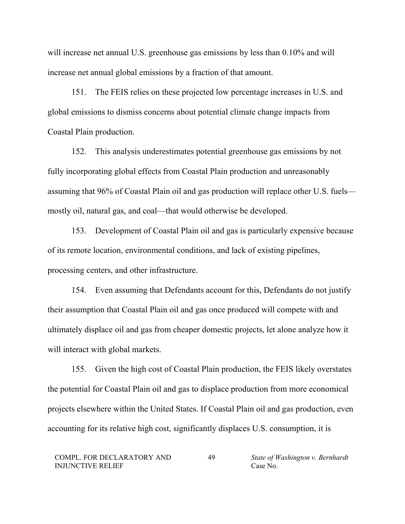will increase net annual U.S. greenhouse gas emissions by less than  $0.10\%$  and will increase net annual global emissions by a fraction of that amount.

151. The FEIS relies on these projected low percentage increases in U.S. and global emissions to dismiss concerns about potential climate change impacts from Coastal Plain production.

152. This analysis underestimates potential greenhouse gas emissions by not fully incorporating global effects from Coastal Plain production and unreasonably assuming that 96% of Coastal Plain oil and gas production will replace other U.S. fuels mostly oil, natural gas, and coal—that would otherwise be developed.

153. Development of Coastal Plain oil and gas is particularly expensive because of its remote location, environmental conditions, and lack of existing pipelines, processing centers, and other infrastructure.

154. Even assuming that Defendants account for this, Defendants do not justify their assumption that Coastal Plain oil and gas once produced will compete with and ultimately displace oil and gas from cheaper domestic projects, let alone analyze how it will interact with global markets.

155. Given the high cost of Coastal Plain production, the FEIS likely overstates the potential for Coastal Plain oil and gas to displace production from more economical projects elsewhere within the United States. If Coastal Plain oil and gas production, even accounting for its relative high cost, significantly displaces U.S. consumption, it is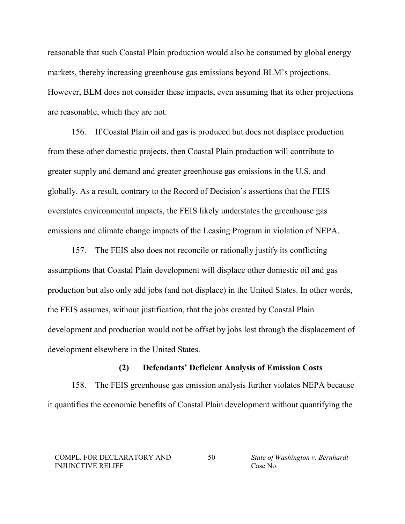reasonable that such Coastal Plain production would also be consumed by global energy markets, thereby increasing greenhouse gas emissions beyond BLM's projections. However, BLM does not consider these impacts, even assuming that its other projections are reasonable, which they are not.

156. If Coastal Plain oil and gas is produced but does not displace production from these other domestic projects, then Coastal Plain production will contribute to greater supply and demand and greater greenhouse gas emissions in the U.S. and globally. As a result, contrary to the Record of Decision's assertions that the FEIS overstates environmental impacts, the FEIS likely understates the greenhouse gas emissions and climate change impacts of the Leasing Program in violation of NEPA.

157. The FEIS also does not reconcile or rationally justify its conflicting assumptions that Coastal Plain development will displace other domestic oil and gas production but also only add jobs (and not displace) in the United States. In other words, the FEIS assumes, without justification, that the jobs created by Coastal Plain development and production would not be offset by jobs lost through the displacement of development elsewhere in the United States.

## **(2) Defendants' Deficient Analysis of Emission Costs**

158. The FEIS greenhouse gas emission analysis further violates NEPA because it quantifies the economic benefits of Coastal Plain development without quantifying the

COMPL. FOR DECLARATORY AND INJUNCTIVE RELIEF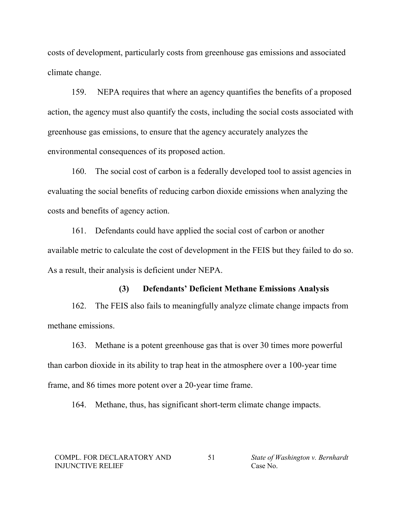costs of development, particularly costs from greenhouse gas emissions and associated climate change.

159. NEPA requires that where an agency quantifies the benefits of a proposed action, the agency must also quantify the costs, including the social costs associated with greenhouse gas emissions, to ensure that the agency accurately analyzes the environmental consequences of its proposed action.

160. The social cost of carbon is a federally developed tool to assist agencies in evaluating the social benefits of reducing carbon dioxide emissions when analyzing the costs and benefits of agency action.

161. Defendants could have applied the social cost of carbon or another available metric to calculate the cost of development in the FEIS but they failed to do so. As a result, their analysis is deficient under NEPA.

## **(3) Defendants' Deficient Methane Emissions Analysis**

162. The FEIS also fails to meaningfully analyze climate change impacts from methane emissions.

163. Methane is a potent greenhouse gas that is over 30 times more powerful than carbon dioxide in its ability to trap heat in the atmosphere over a 100-year time frame, and 86 times more potent over a 20-year time frame.

164. Methane, thus, has significant short-term climate change impacts.

COMPL. FOR DECLARATORY AND INJUNCTIVE RELIEF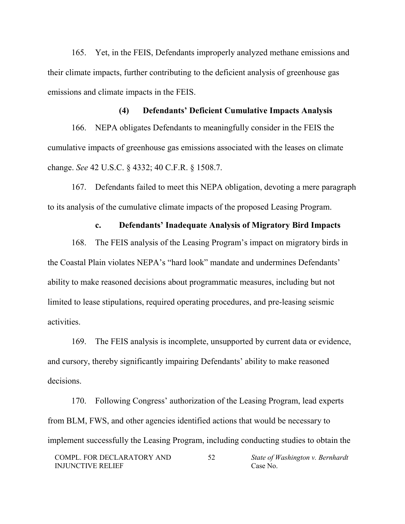165. Yet, in the FEIS, Defendants improperly analyzed methane emissions and their climate impacts, further contributing to the deficient analysis of greenhouse gas emissions and climate impacts in the FEIS.

## **(4) Defendants' Deficient Cumulative Impacts Analysis**

166. NEPA obligates Defendants to meaningfully consider in the FEIS the cumulative impacts of greenhouse gas emissions associated with the leases on climate change. *See* 42 U.S.C. § 4332; 40 C.F.R. § 1508.7.

167. Defendants failed to meet this NEPA obligation, devoting a mere paragraph to its analysis of the cumulative climate impacts of the proposed Leasing Program.

## **c. Defendants' Inadequate Analysis of Migratory Bird Impacts**

168. The FEIS analysis of the Leasing Program's impact on migratory birds in the Coastal Plain violates NEPA's "hard look" mandate and undermines Defendants' ability to make reasoned decisions about programmatic measures, including but not limited to lease stipulations, required operating procedures, and pre-leasing seismic activities.

169. The FEIS analysis is incomplete, unsupported by current data or evidence, and cursory, thereby significantly impairing Defendants' ability to make reasoned decisions.

170. Following Congress' authorization of the Leasing Program, lead experts from BLM, FWS, and other agencies identified actions that would be necessary to implement successfully the Leasing Program, including conducting studies to obtain the

COMPL. FOR DECLARATORY AND INJUNCTIVE RELIEF 52 *State of Washington v. Bernhardt* Case No.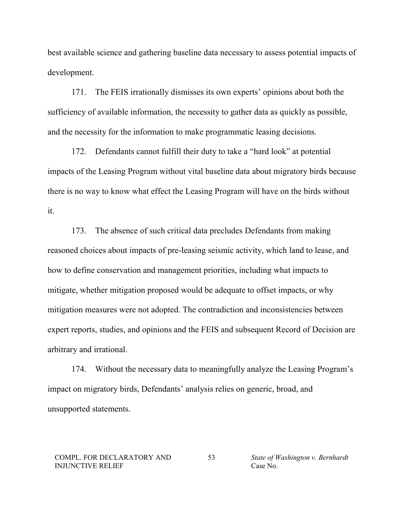best available science and gathering baseline data necessary to assess potential impacts of development.

171. The FEIS irrationally dismisses its own experts' opinions about both the sufficiency of available information, the necessity to gather data as quickly as possible, and the necessity for the information to make programmatic leasing decisions.

172. Defendants cannot fulfill their duty to take a "hard look" at potential impacts of the Leasing Program without vital baseline data about migratory birds because there is no way to know what effect the Leasing Program will have on the birds without it.

173. The absence of such critical data precludes Defendants from making reasoned choices about impacts of pre-leasing seismic activity, which land to lease, and how to define conservation and management priorities, including what impacts to mitigate, whether mitigation proposed would be adequate to offset impacts, or why mitigation measures were not adopted. The contradiction and inconsistencies between expert reports, studies, and opinions and the FEIS and subsequent Record of Decision are arbitrary and irrational.

174. Without the necessary data to meaningfully analyze the Leasing Program's impact on migratory birds, Defendants' analysis relies on generic, broad, and unsupported statements.

COMPL. FOR DECLARATORY AND INJUNCTIVE RELIEF

53 *State of Washington v. Bernhardt* Case No.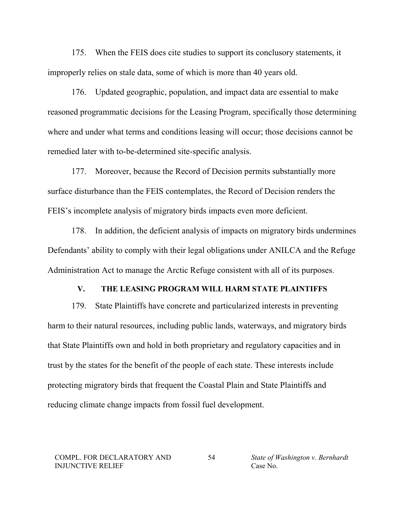175. When the FEIS does cite studies to support its conclusory statements, it improperly relies on stale data, some of which is more than 40 years old.

176. Updated geographic, population, and impact data are essential to make reasoned programmatic decisions for the Leasing Program, specifically those determining where and under what terms and conditions leasing will occur; those decisions cannot be remedied later with to-be-determined site-specific analysis.

177. Moreover, because the Record of Decision permits substantially more surface disturbance than the FEIS contemplates, the Record of Decision renders the FEIS's incomplete analysis of migratory birds impacts even more deficient.

178. In addition, the deficient analysis of impacts on migratory birds undermines Defendants' ability to comply with their legal obligations under ANILCA and the Refuge Administration Act to manage the Arctic Refuge consistent with all of its purposes.

## **V. THE LEASING PROGRAM WILL HARM STATE PLAINTIFFS**

179. State Plaintiffs have concrete and particularized interests in preventing harm to their natural resources, including public lands, waterways, and migratory birds that State Plaintiffs own and hold in both proprietary and regulatory capacities and in trust by the states for the benefit of the people of each state. These interests include protecting migratory birds that frequent the Coastal Plain and State Plaintiffs and reducing climate change impacts from fossil fuel development.

COMPL. FOR DECLARATORY AND INJUNCTIVE RELIEF

54 *State of Washington v. Bernhardt* Case No.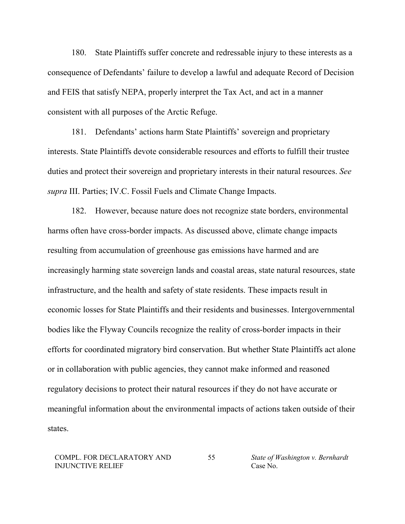180. State Plaintiffs suffer concrete and redressable injury to these interests as a consequence of Defendants' failure to develop a lawful and adequate Record of Decision and FEIS that satisfy NEPA, properly interpret the Tax Act, and act in a manner consistent with all purposes of the Arctic Refuge.

181. Defendants' actions harm State Plaintiffs' sovereign and proprietary interests. State Plaintiffs devote considerable resources and efforts to fulfill their trustee duties and protect their sovereign and proprietary interests in their natural resources. *See supra* III. Parties; IV.C. Fossil Fuels and Climate Change Impacts.

182. However, because nature does not recognize state borders, environmental harms often have cross-border impacts. As discussed above, climate change impacts resulting from accumulation of greenhouse gas emissions have harmed and are increasingly harming state sovereign lands and coastal areas, state natural resources, state infrastructure, and the health and safety of state residents. These impacts result in economic losses for State Plaintiffs and their residents and businesses. Intergovernmental bodies like the Flyway Councils recognize the reality of cross-border impacts in their efforts for coordinated migratory bird conservation. But whether State Plaintiffs act alone or in collaboration with public agencies, they cannot make informed and reasoned regulatory decisions to protect their natural resources if they do not have accurate or meaningful information about the environmental impacts of actions taken outside of their states.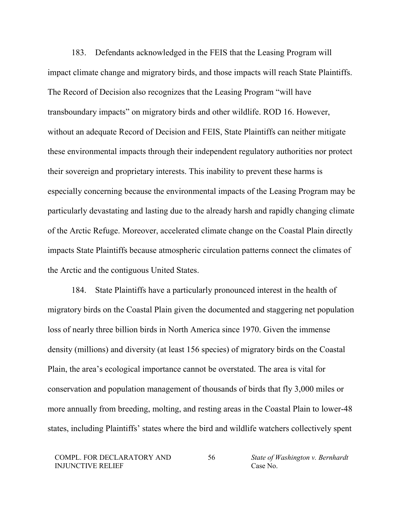183. Defendants acknowledged in the FEIS that the Leasing Program will impact climate change and migratory birds, and those impacts will reach State Plaintiffs. The Record of Decision also recognizes that the Leasing Program "will have transboundary impacts" on migratory birds and other wildlife. ROD 16. However, without an adequate Record of Decision and FEIS, State Plaintiffs can neither mitigate these environmental impacts through their independent regulatory authorities nor protect their sovereign and proprietary interests. This inability to prevent these harms is especially concerning because the environmental impacts of the Leasing Program may be particularly devastating and lasting due to the already harsh and rapidly changing climate of the Arctic Refuge. Moreover, accelerated climate change on the Coastal Plain directly impacts State Plaintiffs because atmospheric circulation patterns connect the climates of the Arctic and the contiguous United States.

184. State Plaintiffs have a particularly pronounced interest in the health of migratory birds on the Coastal Plain given the documented and staggering net population loss of nearly three billion birds in North America since 1970. Given the immense density (millions) and diversity (at least 156 species) of migratory birds on the Coastal Plain, the area's ecological importance cannot be overstated. The area is vital for conservation and population management of thousands of birds that fly 3,000 miles or more annually from breeding, molting, and resting areas in the Coastal Plain to lower-48 states, including Plaintiffs' states where the bird and wildlife watchers collectively spent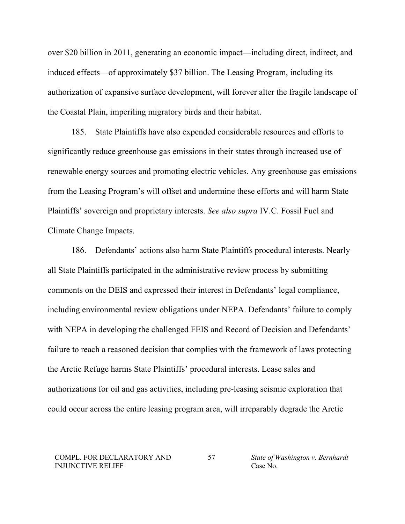over \$20 billion in 2011, generating an economic impact—including direct, indirect, and induced effects—of approximately \$37 billion. The Leasing Program, including its authorization of expansive surface development, will forever alter the fragile landscape of the Coastal Plain, imperiling migratory birds and their habitat.

185. State Plaintiffs have also expended considerable resources and efforts to significantly reduce greenhouse gas emissions in their states through increased use of renewable energy sources and promoting electric vehicles. Any greenhouse gas emissions from the Leasing Program's will offset and undermine these efforts and will harm State Plaintiffs' sovereign and proprietary interests. *See also supra* IV.C. Fossil Fuel and Climate Change Impacts.

186. Defendants' actions also harm State Plaintiffs procedural interests. Nearly all State Plaintiffs participated in the administrative review process by submitting comments on the DEIS and expressed their interest in Defendants' legal compliance, including environmental review obligations under NEPA. Defendants' failure to comply with NEPA in developing the challenged FEIS and Record of Decision and Defendants' failure to reach a reasoned decision that complies with the framework of laws protecting the Arctic Refuge harms State Plaintiffs' procedural interests. Lease sales and authorizations for oil and gas activities, including pre-leasing seismic exploration that could occur across the entire leasing program area, will irreparably degrade the Arctic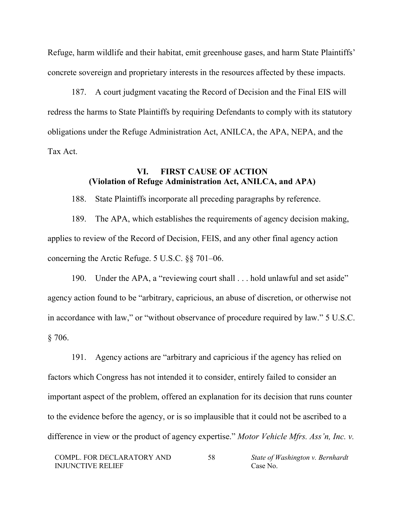Refuge, harm wildlife and their habitat, emit greenhouse gases, and harm State Plaintiffs' concrete sovereign and proprietary interests in the resources affected by these impacts.

187. A court judgment vacating the Record of Decision and the Final EIS will redress the harms to State Plaintiffs by requiring Defendants to comply with its statutory obligations under the Refuge Administration Act, ANILCA, the APA, NEPA, and the Tax Act.

# **VI. FIRST CAUSE OF ACTION (Violation of Refuge Administration Act, ANILCA, and APA)**

188. State Plaintiffs incorporate all preceding paragraphs by reference.

189. The APA, which establishes the requirements of agency decision making, applies to review of the Record of Decision, FEIS, and any other final agency action concerning the Arctic Refuge. 5 U.S.C. §§ 701–06.

190. Under the APA, a "reviewing court shall . . . hold unlawful and set aside" agency action found to be "arbitrary, capricious, an abuse of discretion, or otherwise not in accordance with law," or "without observance of procedure required by law." 5 U.S.C.  $§ 706.$ 

191. Agency actions are "arbitrary and capricious if the agency has relied on factors which Congress has not intended it to consider, entirely failed to consider an important aspect of the problem, offered an explanation for its decision that runs counter to the evidence before the agency, or is so implausible that it could not be ascribed to a difference in view or the product of agency expertise." *Motor Vehicle Mfrs. Ass'n, Inc. v.*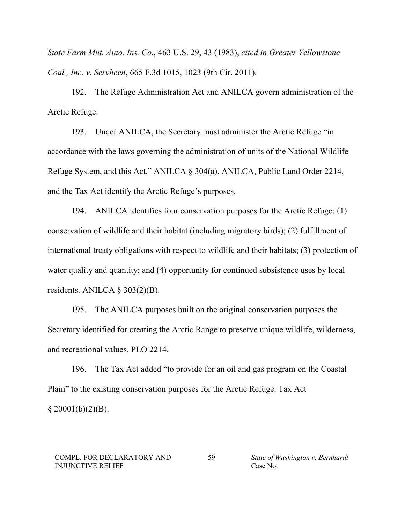*State Farm Mut. Auto. Ins. Co.*, 463 U.S. 29, 43 (1983), *cited in Greater Yellowstone Coal., Inc. v. Servheen*, 665 F.3d 1015, 1023 (9th Cir. 2011).

192. The Refuge Administration Act and ANILCA govern administration of the Arctic Refuge.

193. Under ANILCA, the Secretary must administer the Arctic Refuge "in accordance with the laws governing the administration of units of the National Wildlife Refuge System, and this Act." ANILCA § 304(a). ANILCA, Public Land Order 2214, and the Tax Act identify the Arctic Refuge's purposes.

194. ANILCA identifies four conservation purposes for the Arctic Refuge: (1) conservation of wildlife and their habitat (including migratory birds); (2) fulfillment of international treaty obligations with respect to wildlife and their habitats; (3) protection of water quality and quantity; and (4) opportunity for continued subsistence uses by local residents. ANILCA § 303(2)(B).

195. The ANILCA purposes built on the original conservation purposes the Secretary identified for creating the Arctic Range to preserve unique wildlife, wilderness, and recreational values. PLO 2214.

196. The Tax Act added "to provide for an oil and gas program on the Coastal Plain" to the existing conservation purposes for the Arctic Refuge. Tax Act  $§$  20001(b)(2)(B).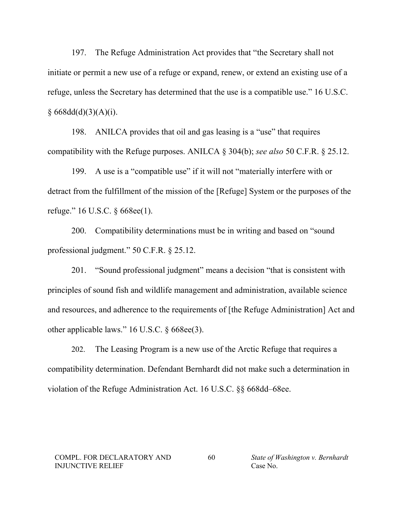197. The Refuge Administration Act provides that "the Secretary shall not initiate or permit a new use of a refuge or expand, renew, or extend an existing use of a refuge, unless the Secretary has determined that the use is a compatible use." 16 U.S.C.  $§ 668d(d)(3)(A)(i).$ 

198. ANILCA provides that oil and gas leasing is a "use" that requires compatibility with the Refuge purposes. ANILCA § 304(b); *see also* 50 C.F.R. § 25.12.

199. A use is a "compatible use" if it will not "materially interfere with or detract from the fulfillment of the mission of the [Refuge] System or the purposes of the refuge." 16 U.S.C. § 668ee(1).

200. Compatibility determinations must be in writing and based on "sound professional judgment." 50 C.F.R. § 25.12.

201. "Sound professional judgment" means a decision "that is consistent with principles of sound fish and wildlife management and administration, available science and resources, and adherence to the requirements of [the Refuge Administration] Act and other applicable laws." 16 U.S.C. § 668ee(3).

202. The Leasing Program is a new use of the Arctic Refuge that requires a compatibility determination. Defendant Bernhardt did not make such a determination in violation of the Refuge Administration Act. 16 U.S.C. §§ 668dd–68ee.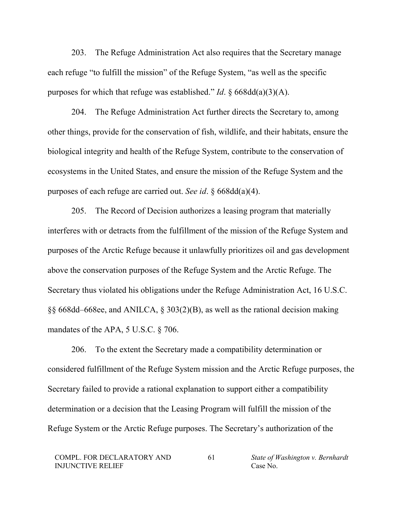203. The Refuge Administration Act also requires that the Secretary manage each refuge "to fulfill the mission" of the Refuge System, "as well as the specific purposes for which that refuge was established." *Id*. § 668dd(a)(3)(A).

204. The Refuge Administration Act further directs the Secretary to, among other things, provide for the conservation of fish, wildlife, and their habitats, ensure the biological integrity and health of the Refuge System, contribute to the conservation of ecosystems in the United States, and ensure the mission of the Refuge System and the purposes of each refuge are carried out. *See id*. § 668dd(a)(4).

205. The Record of Decision authorizes a leasing program that materially interferes with or detracts from the fulfillment of the mission of the Refuge System and purposes of the Arctic Refuge because it unlawfully prioritizes oil and gas development above the conservation purposes of the Refuge System and the Arctic Refuge. The Secretary thus violated his obligations under the Refuge Administration Act, 16 U.S.C. §§ 668dd–668ee, and ANILCA, § 303(2)(B), as well as the rational decision making mandates of the APA, 5 U.S.C. § 706.

206. To the extent the Secretary made a compatibility determination or considered fulfillment of the Refuge System mission and the Arctic Refuge purposes, the Secretary failed to provide a rational explanation to support either a compatibility determination or a decision that the Leasing Program will fulfill the mission of the Refuge System or the Arctic Refuge purposes. The Secretary's authorization of the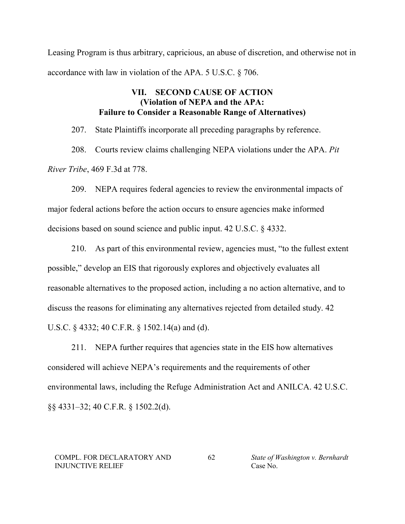Leasing Program is thus arbitrary, capricious, an abuse of discretion, and otherwise not in accordance with law in violation of the APA. 5 U.S.C. § 706.

# **VII. SECOND CAUSE OF ACTION (Violation of NEPA and the APA: Failure to Consider a Reasonable Range of Alternatives)**

207. State Plaintiffs incorporate all preceding paragraphs by reference.

208. Courts review claims challenging NEPA violations under the APA. *Pit River Tribe*, 469 F.3d at 778.

209. NEPA requires federal agencies to review the environmental impacts of major federal actions before the action occurs to ensure agencies make informed decisions based on sound science and public input. 42 U.S.C. § 4332.

210. As part of this environmental review, agencies must, "to the fullest extent possible," develop an EIS that rigorously explores and objectively evaluates all reasonable alternatives to the proposed action, including a no action alternative, and to discuss the reasons for eliminating any alternatives rejected from detailed study. 42 U.S.C. § 4332; 40 C.F.R. § 1502.14(a) and (d).

211. NEPA further requires that agencies state in the EIS how alternatives considered will achieve NEPA's requirements and the requirements of other environmental laws, including the Refuge Administration Act and ANILCA. 42 U.S.C. §§ 4331–32; 40 C.F.R. § 1502.2(d).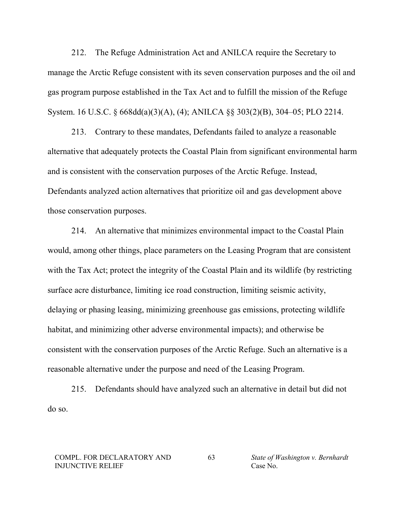212. The Refuge Administration Act and ANILCA require the Secretary to manage the Arctic Refuge consistent with its seven conservation purposes and the oil and gas program purpose established in the Tax Act and to fulfill the mission of the Refuge System. 16 U.S.C. § 668dd(a)(3)(A), (4); ANILCA §§ 303(2)(B), 304–05; PLO 2214.

213. Contrary to these mandates, Defendants failed to analyze a reasonable alternative that adequately protects the Coastal Plain from significant environmental harm and is consistent with the conservation purposes of the Arctic Refuge. Instead, Defendants analyzed action alternatives that prioritize oil and gas development above those conservation purposes.

214. An alternative that minimizes environmental impact to the Coastal Plain would, among other things, place parameters on the Leasing Program that are consistent with the Tax Act; protect the integrity of the Coastal Plain and its wildlife (by restricting surface acre disturbance, limiting ice road construction, limiting seismic activity, delaying or phasing leasing, minimizing greenhouse gas emissions, protecting wildlife habitat, and minimizing other adverse environmental impacts); and otherwise be consistent with the conservation purposes of the Arctic Refuge. Such an alternative is a reasonable alternative under the purpose and need of the Leasing Program.

215. Defendants should have analyzed such an alternative in detail but did not do so.

#### COMPL. FOR DECLARATORY AND INJUNCTIVE RELIEF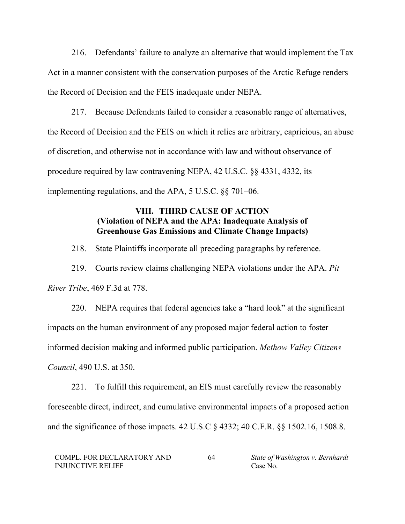216. Defendants' failure to analyze an alternative that would implement the Tax Act in a manner consistent with the conservation purposes of the Arctic Refuge renders the Record of Decision and the FEIS inadequate under NEPA.

217. Because Defendants failed to consider a reasonable range of alternatives, the Record of Decision and the FEIS on which it relies are arbitrary, capricious, an abuse of discretion, and otherwise not in accordance with law and without observance of procedure required by law contravening NEPA, 42 U.S.C. §§ 4331, 4332, its implementing regulations, and the APA, 5 U.S.C. §§ 701–06.

# **VIII. THIRD CAUSE OF ACTION (Violation of NEPA and the APA: Inadequate Analysis of Greenhouse Gas Emissions and Climate Change Impacts)**

218. State Plaintiffs incorporate all preceding paragraphs by reference.

219. Courts review claims challenging NEPA violations under the APA. *Pit River Tribe*, 469 F.3d at 778.

220. NEPA requires that federal agencies take a "hard look" at the significant impacts on the human environment of any proposed major federal action to foster informed decision making and informed public participation. *Methow Valley Citizens Council*, 490 U.S. at 350.

221. To fulfill this requirement, an EIS must carefully review the reasonably foreseeable direct, indirect, and cumulative environmental impacts of a proposed action and the significance of those impacts. 42 U.S.C § 4332; 40 C.F.R. §§ 1502.16, 1508.8.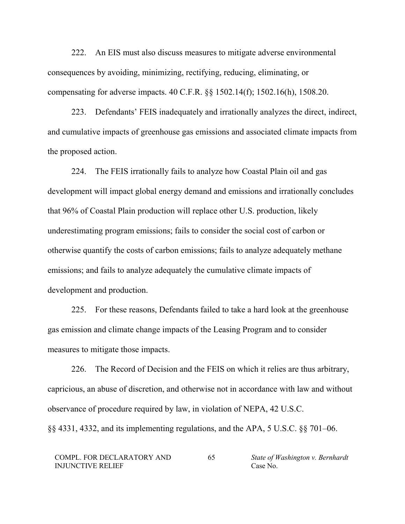222. An EIS must also discuss measures to mitigate adverse environmental consequences by avoiding, minimizing, rectifying, reducing, eliminating, or compensating for adverse impacts. 40 C.F.R. §§ 1502.14(f); 1502.16(h), 1508.20.

223. Defendants' FEIS inadequately and irrationally analyzes the direct, indirect, and cumulative impacts of greenhouse gas emissions and associated climate impacts from the proposed action.

224. The FEIS irrationally fails to analyze how Coastal Plain oil and gas development will impact global energy demand and emissions and irrationally concludes that 96% of Coastal Plain production will replace other U.S. production, likely underestimating program emissions; fails to consider the social cost of carbon or otherwise quantify the costs of carbon emissions; fails to analyze adequately methane emissions; and fails to analyze adequately the cumulative climate impacts of development and production.

225. For these reasons, Defendants failed to take a hard look at the greenhouse gas emission and climate change impacts of the Leasing Program and to consider measures to mitigate those impacts.

226. The Record of Decision and the FEIS on which it relies are thus arbitrary, capricious, an abuse of discretion, and otherwise not in accordance with law and without observance of procedure required by law, in violation of NEPA, 42 U.S.C. §§ 4331, 4332, and its implementing regulations, and the APA, 5 U.S.C. §§ 701–06.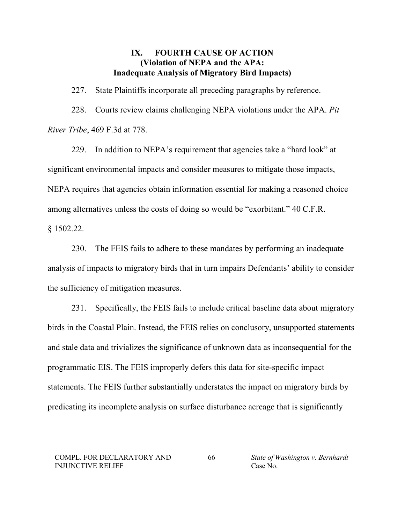# **IX. FOURTH CAUSE OF ACTION (Violation of NEPA and the APA: Inadequate Analysis of Migratory Bird Impacts)**

227. State Plaintiffs incorporate all preceding paragraphs by reference. 228. Courts review claims challenging NEPA violations under the APA. *Pit River Tribe*, 469 F.3d at 778.

229. In addition to NEPA's requirement that agencies take a "hard look" at significant environmental impacts and consider measures to mitigate those impacts, NEPA requires that agencies obtain information essential for making a reasoned choice among alternatives unless the costs of doing so would be "exorbitant." 40 C.F.R.

§ 1502.22.

230. The FEIS fails to adhere to these mandates by performing an inadequate analysis of impacts to migratory birds that in turn impairs Defendants' ability to consider the sufficiency of mitigation measures.

231. Specifically, the FEIS fails to include critical baseline data about migratory birds in the Coastal Plain. Instead, the FEIS relies on conclusory, unsupported statements and stale data and trivializes the significance of unknown data as inconsequential for the programmatic EIS. The FEIS improperly defers this data for site-specific impact statements. The FEIS further substantially understates the impact on migratory birds by predicating its incomplete analysis on surface disturbance acreage that is significantly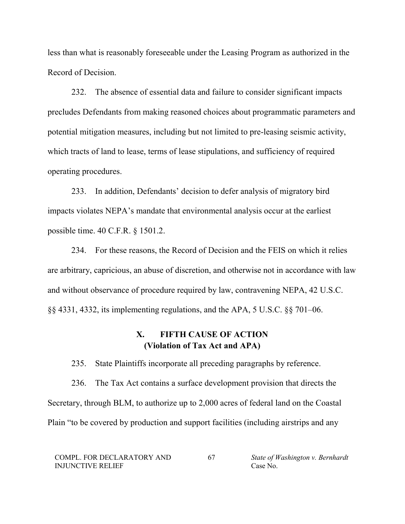less than what is reasonably foreseeable under the Leasing Program as authorized in the Record of Decision.

232. The absence of essential data and failure to consider significant impacts precludes Defendants from making reasoned choices about programmatic parameters and potential mitigation measures, including but not limited to pre-leasing seismic activity, which tracts of land to lease, terms of lease stipulations, and sufficiency of required operating procedures.

233. In addition, Defendants' decision to defer analysis of migratory bird impacts violates NEPA's mandate that environmental analysis occur at the earliest possible time. 40 C.F.R. § 1501.2.

234. For these reasons, the Record of Decision and the FEIS on which it relies are arbitrary, capricious, an abuse of discretion, and otherwise not in accordance with law and without observance of procedure required by law, contravening NEPA, 42 U.S.C. §§ 4331, 4332, its implementing regulations, and the APA, 5 U.S.C. §§ 701–06.

# **X. FIFTH CAUSE OF ACTION (Violation of Tax Act and APA)**

235. State Plaintiffs incorporate all preceding paragraphs by reference.

236. The Tax Act contains a surface development provision that directs the Secretary, through BLM, to authorize up to 2,000 acres of federal land on the Coastal Plain "to be covered by production and support facilities (including airstrips and any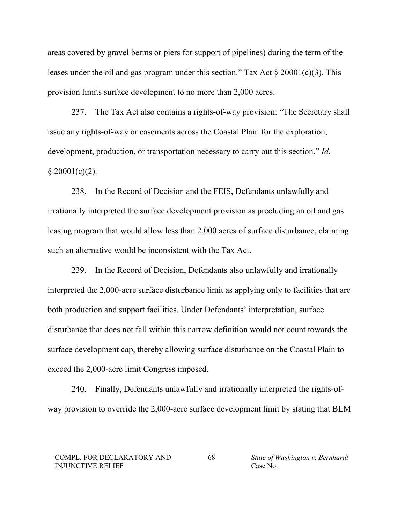areas covered by gravel berms or piers for support of pipelines) during the term of the leases under the oil and gas program under this section." Tax Act  $\S 20001(c)(3)$ . This provision limits surface development to no more than 2,000 acres.

237. The Tax Act also contains a rights-of-way provision: "The Secretary shall issue any rights-of-way or easements across the Coastal Plain for the exploration, development, production, or transportation necessary to carry out this section." *Id*.  $$20001(c)(2).$ 

238. In the Record of Decision and the FEIS, Defendants unlawfully and irrationally interpreted the surface development provision as precluding an oil and gas leasing program that would allow less than 2,000 acres of surface disturbance, claiming such an alternative would be inconsistent with the Tax Act.

239. In the Record of Decision, Defendants also unlawfully and irrationally interpreted the 2,000-acre surface disturbance limit as applying only to facilities that are both production and support facilities. Under Defendants' interpretation, surface disturbance that does not fall within this narrow definition would not count towards the surface development cap, thereby allowing surface disturbance on the Coastal Plain to exceed the 2,000-acre limit Congress imposed.

240. Finally, Defendants unlawfully and irrationally interpreted the rights-ofway provision to override the 2,000-acre surface development limit by stating that BLM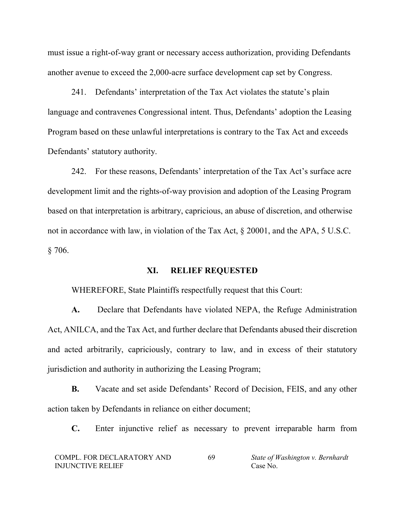must issue a right-of-way grant or necessary access authorization, providing Defendants another avenue to exceed the 2,000-acre surface development cap set by Congress.

241. Defendants' interpretation of the Tax Act violates the statute's plain language and contravenes Congressional intent. Thus, Defendants' adoption the Leasing Program based on these unlawful interpretations is contrary to the Tax Act and exceeds Defendants' statutory authority.

242. For these reasons, Defendants' interpretation of the Tax Act's surface acre development limit and the rights-of-way provision and adoption of the Leasing Program based on that interpretation is arbitrary, capricious, an abuse of discretion, and otherwise not in accordance with law, in violation of the Tax Act, § 20001, and the APA, 5 U.S.C. § 706.

# **XI. RELIEF REQUESTED**

WHEREFORE, State Plaintiffs respectfully request that this Court:

**A.** Declare that Defendants have violated NEPA, the Refuge Administration Act, ANILCA, and the Tax Act, and further declare that Defendants abused their discretion and acted arbitrarily, capriciously, contrary to law, and in excess of their statutory jurisdiction and authority in authorizing the Leasing Program;

**B.** Vacate and set aside Defendants' Record of Decision, FEIS, and any other action taken by Defendants in reliance on either document;

**C.** Enter injunctive relief as necessary to prevent irreparable harm from

| COMPL. FOR DECLARATORY AND | 69 | State of Washington v. Bernhardt |
|----------------------------|----|----------------------------------|
| <b>INJUNCTIVE RELIEF</b>   |    | Case No.                         |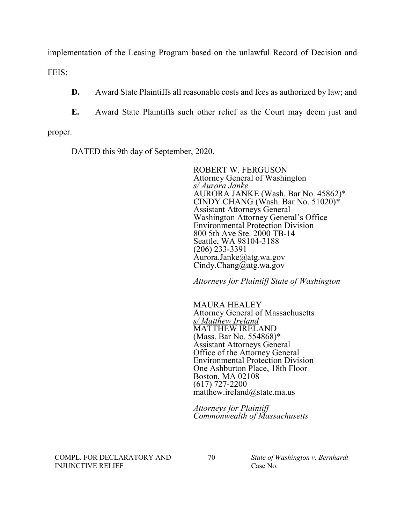implementation of the Leasing Program based on the unlawful Record of Decision and

FEIS;

**D.** Award State Plaintiffs all reasonable costs and fees as authorized by law; and

**E.** Award State Plaintiffs such other relief as the Court may deem just and

proper.

DATED this 9th day of September, 2020.

ROBERT W. FERGUSON Attorney General of Washington *s/ Aurora Janke* AURORA JANKE (Wash. Bar No. 45862)\* CINDY CHANG (Wash. Bar No. 51020)\* Assistant Attorneys General Washington Attorney General's Office Environmental Protection Division 800 5th Ave Ste. 2000 TB-14 Seattle, WA 98104-3188 (206) 233-3391 Aurora.Janke@atg.wa.gov Cindy.Chang@atg.wa.gov

*Attorneys for Plaintiff State of Washington*

MAURA HEALEY Attorney General of Massachusetts<br>s/Matthew Ireland *s/ Matthew Ireland* MATTHEW IRELAND (Mass. Bar No. 554868)\* Assistant Attorneys General Office of the Attorney General Environmental Protection Division One Ashburton Place, 18th Floor Boston, MA 02108 (617) 727-2200 matthew.ireland@state.ma.us

*Attorneys for Plaintiff Commonwealth of Massachusetts* 

COMPL. FOR DECLARATORY AND INJUNCTIVE RELIEF

70 *State of Washington v. Bernhardt* Case No.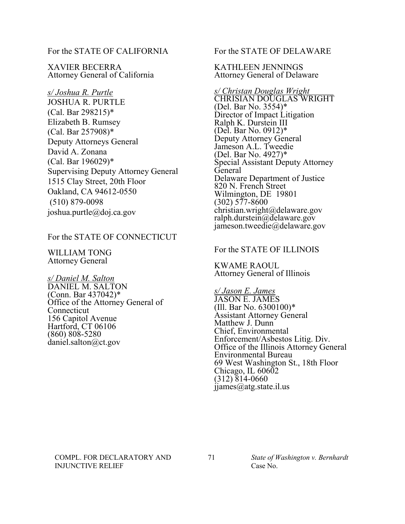For the STATE OF CALIFORNIA

XAVIER BECERRA Attorney General of California

*s/ Joshua R. Purtle* JOSHUA R. PURTLE (Cal. Bar 298215)\* Elizabeth B. Rumsey (Cal. Bar 257908)\* Deputy Attorneys General David A. Zonana (Cal. Bar 196029)\* Supervising Deputy Attorney General 1515 Clay Street, 20th Floor Oakland, CA 94612-0550 (510) 879-0098 joshua.purtle@doj.ca.gov

## For the STATE OF CONNECTICUT

WILLIAM TONG Attorney General

*s/ Daniel M. Salton* DANIEL M. SALTON (Conn. Bar 437042)\* Office of the Attorney General of Connecticut 156 Capitol Avenue Hartford, CT 06106 (860) 808-5280 daniel.salton@ct.gov

For the STATE OF DELAWARE

KATHLEEN JENNINGS Attorney General of Delaware

*s/ Christan Douglas Wright* CHRISIAN DOUGLAS WRIGHT (Del. Bar No. 3554)\* Director of Impact Litigation Ralph K. Durstein III (Del. Bar No. 0912)\* Deputy Attorney General Jameson A.L. Tweedie (Del. Bar No. 4927)\* Special Assistant Deputy Attorney General Delaware Department of Justice 820 N. French Street Wilmington, DE 19801  $(302)$  577-8600 christian.wright@delaware.gov ralph.durstein@delaware.gov jameson.tweedie@delaware.gov

## For the STATE OF ILLINOIS

KWAME RAOUL Attorney General of Illinois

*s/ Jason E. James* JASON E. JAMES (Ill. Bar No. 6300100)\* Assistant Attorney General Matthew J. Dunn<sup>'</sup> Chief, Environmental Enforcement/Asbestos Litig. Div. Office of the Illinois Attorney General Environmental Bureau 69 West Washington St., 18th Floor Chicago, IL  $60602$  $(312)$   $814-0660$ jjames@atg.state.il.us

#### COMPL. FOR DECLARATORY AND INJUNCTIVE RELIEF

### 71 *State of Washington v. Bernhardt* Case No.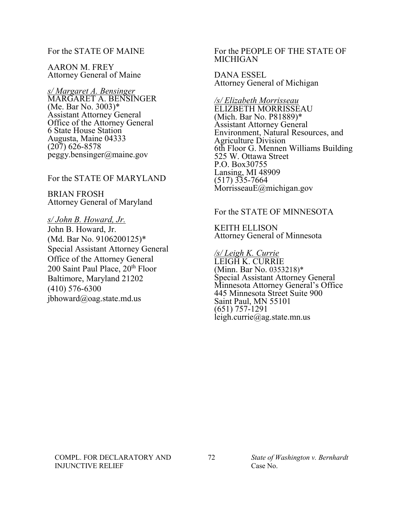## For the STATE OF MAINE

AARON M. FREY Attorney General of Maine

*s/ Margaret A. Bensinger* MARGARET A. BENSINGER (Me. Bar No. 3003)\* Assistant Attorney General Office of the Attorney General 6 State House Station Augusta, Maine 04333  $(207)$  626-8578 peggy.bensinger@maine.gov

For the STATE OF MARYLAND

BRIAN FROSH Attorney General of Maryland

*s/ John B. Howard, Jr.* John B. Howard, Jr. (Md. Bar No. 9106200125)\* Special Assistant Attorney General Office of the Attorney General 200 Saint Paul Place, 20<sup>th</sup> Floor Baltimore, Maryland 21202 (410) 576-6300 jbhoward@oag.state.md.us

### For the PEOPLE OF THE STATE OF MICHIGAN

DANA ESSEL Attorney General of Michigan

*/s/ Elizabeth Morrisseau* ELIZBETH MORRISSEAU (Mich. Bar No. P81889)\* Assistant Attorney General Environment, Natural Resources, and Agriculture Division 6th Floor G. Mennen Williams Building 525 W. Ottawa Street P.O. Box30755 Lansing, MI 48909 (517) 335-7664 MorrisseauE@michigan.gov

### For the STATE OF MINNESOTA

KEITH ELLISON Attorney General of Minnesota

*/s/ Leigh K. Currie* LEIGH K. CURRIE (Minn. Bar No. 0353218)\* Special Assistant Attorney General Minnesota Attorney General's Office 445 Minnesota Street Suite 900 Saint Paul, MN 55101 (651) 757-1291 leigh.currie@ag.state.mn.us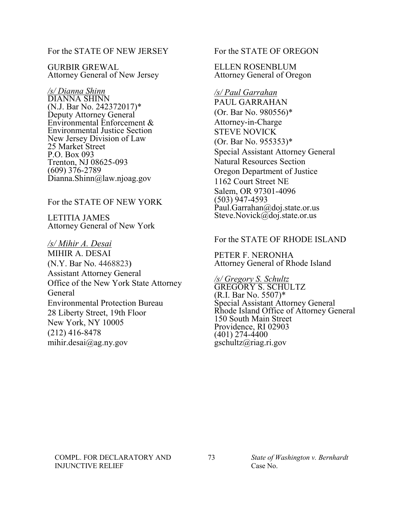For the STATE OF NEW JERSEY

GURBIR GREWAL Attorney General of New Jersey

*/s/ Dianna Shinn* DIANNA SHINN (N.J. Bar No. 242372017)\* Deputy Attorney General Environmental Enforcement & Environmental Justice Section New Jersey Division of Law 25 Market Street P.O. Box 093 Trenton, NJ 08625-093 (609) 376-2789 Dianna.Shinn@law.njoag.gov

## For the STATE OF NEW YORK

LETITIA JAMES Attorney General of New York

*/s/ Mihir A. Desai* MIHIR A. DESAI (N.Y. Bar No. 4468823**)** Assistant Attorney General Office of the New York State Attorney General Environmental Protection Bureau 28 Liberty Street, 19th Floor New York, NY 10005 (212) 416-8478 mihir.desai@ag.ny.gov

For the STATE OF OREGON

ELLEN ROSENBLUM Attorney General of Oregon

## */s/ Paul Garrahan*

PAUL GARRAHAN (Or. Bar No. 980556)\* Attorney-in-Charge STEVE NOVICK (Or. Bar No. 955353)\* Special Assistant Attorney General Natural Resources Section Oregon Department of Justice 1162 Court Street NE Salem, OR 97301-4096 (503) 947-4593 Paul.Garrahan@doj.state.or.us Steve.Novick@doj.state.or.us

## For the STATE OF RHODE ISLAND

PETER F. NERONHA Attorney General of Rhode Island

*/s/ Gregory S. Schultz* GREGORY S. SCHULTZ (R.I. Bar No. 5507)\* Special Assistant Attorney General Rhode Island Office of Attorney General 150 South Main Street Providence, RI 02903 (401) 274-4400 gschultz@riag.ri.gov